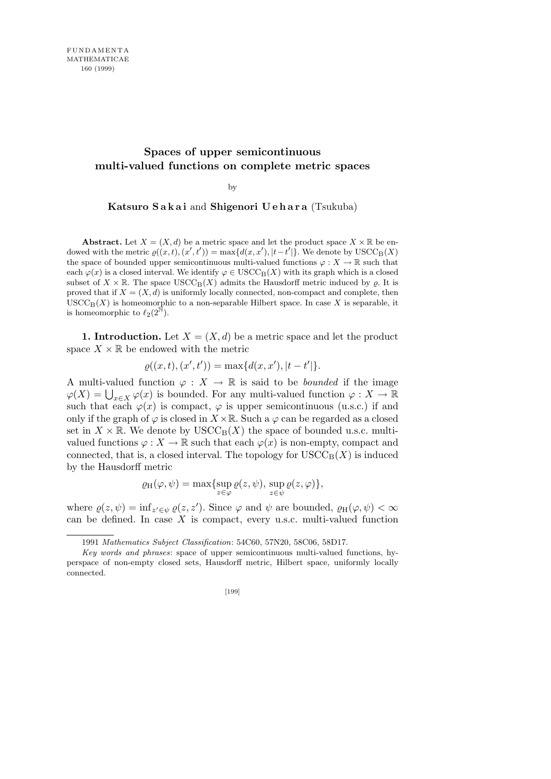## **Spaces of upper semicontinuous multi-valued functions on complete metric spaces**

by

**Katsuro Sakai** and **Shigenori Uehara** (Tsukuba)

**Abstract.** Let  $X = (X, d)$  be a metric space and let the product space  $X \times \mathbb{R}$  be endowed with the metric  $\varrho((x,t),(x',t')) = \max\{d(x,x'),|t-t'|\}$ . We denote by  $\text{USCC}_{\text{B}}(X)$ the space of bounded upper semicontinuous multi-valued functions  $\varphi: X \to \mathbb{R}$  such that each  $\varphi(x)$  is a closed interval. We identify  $\varphi \in \text{USCC}_{\text{B}}(X)$  with its graph which is a closed subset of  $X \times \mathbb{R}$ . The space USCC<sub>B</sub>(X) admits the Hausdorff metric induced by  $\rho$ . It is proved that if  $X = (X, d)$  is uniformly locally connected, non-compact and complete, then  $USCC<sub>B</sub>(X)$  is homeomorphic to a non-separable Hilbert space. In case X is separable, it is homeomorphic to  $\ell_2(2^{\tilde{\mathbb{N}}}).$ 

**1. Introduction.** Let  $X = (X, d)$  be a metric space and let the product space  $X \times \mathbb{R}$  be endowed with the metric

$$
\varrho((x,t),(x',t')) = \max\{d(x,x'),|t-t'|\}.
$$

A multi-valued function  $\varphi : X \to \mathbb{R}$  is said to be *bounded* if the image  $\varphi(X) = \bigcup_{x \in X} \varphi(x)$  is bounded. For any multi-valued function  $\varphi: X \to \mathbb{R}$ such that each  $\varphi(x)$  is compact,  $\varphi$  is upper semicontinuous (u.s.c.) if and only if the graph of  $\varphi$  is closed in  $X \times \mathbb{R}$ . Such a  $\varphi$  can be regarded as a closed set in  $X \times \mathbb{R}$ . We denote by  $USCC_B(X)$  the space of bounded u.s.c. multivalued functions  $\varphi: X \to \mathbb{R}$  such that each  $\varphi(x)$  is non-empty, compact and connected, that is, a closed interval. The topology for  $\text{USCC}_{\text{B}}(X)$  is induced by the Hausdorff metric

$$
\varrho_H(\varphi, \psi) = \max \{ \sup_{z \in \varphi} \varrho(z, \psi), \sup_{z \in \psi} \varrho(z, \varphi) \},\
$$

where  $\varrho(z, \psi) = \inf_{z' \in \psi} \varrho(z, z')$ . Since  $\varphi$  and  $\psi$  are bounded,  $\varrho_H(\varphi, \psi) < \infty$ can be defined. In case *X* is compact, every u.s.c. multi-valued function

<sup>1991</sup> *Mathematics Subject Classification*: 54C60, 57N20, 58C06, 58D17.

*Key words and phrases*: space of upper semicontinuous multi-valued functions, hyperspace of non-empty closed sets, Hausdorff metric, Hilbert space, uniformly locally connected.

<sup>[199]</sup>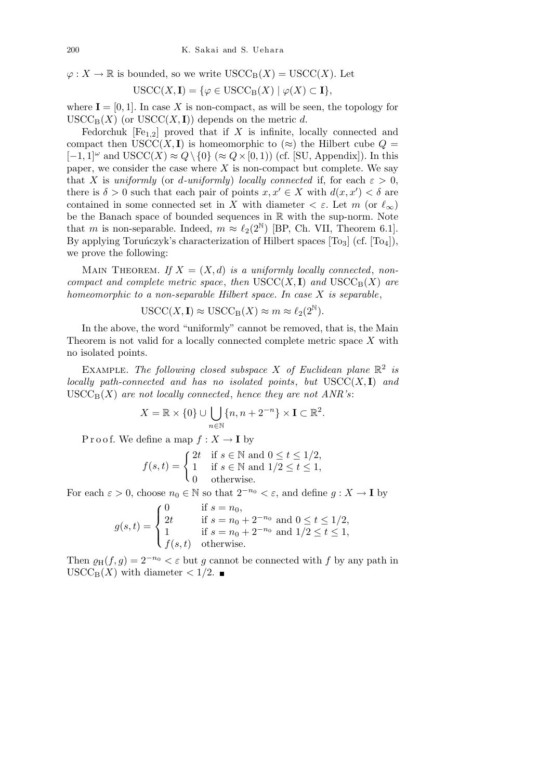$\varphi: X \to \mathbb{R}$  is bounded, so we write  $USCC_B(X) = USC(X)$ . Let

$$
USCC(X, I) = \{ \varphi \in USC_{B}(X) \mid \varphi(X) \subset I \},
$$

where  $I = [0, 1]$ . In case X is non-compact, as will be seen, the topology for  $USCC_{\text{B}}(X)$  (or  $USCC(X, I)$ ) depends on the metric *d*.

Fedorchuk  $[Fe_{1,2}]$  proved that if *X* is infinite, locally connected and compact then  $USCC(X, I)$  is homeomorphic to ( $\approx$ ) the Hilbert cube  $Q =$ [*−*1*,* 1]*<sup>ω</sup>* and USCC(*X*) *≈ Q\ {*0*}* (*≈ Q×*[0*,* 1)) (cf. [SU, Appendix]). In this paper, we consider the case where  $X$  is non-compact but complete. We say that *X* is *uniformly* (or *d-uniformly*) *locally connected* if, for each  $\varepsilon > 0$ , there is  $\delta > 0$  such that each pair of points  $x, x' \in X$  with  $d(x, x') < \delta$  are contained in some connected set in *X* with diameter  $\langle \varepsilon \varepsilon \rangle$ . Let *m* (or  $\ell_{\infty}$ ) be the Banach space of bounded sequences in R with the sup-norm. Note that *m* is non-separable. Indeed,  $m \approx \ell_2(2^N)$  [BP, Ch. VII, Theorem 6.1]. By applying Toruńczyk's characterization of Hilbert spaces  $[T<sub>03</sub>]$  (cf.  $[T<sub>04</sub>]$ ), we prove the following:

MAIN THEOREM. If  $X = (X, d)$  is a uniformly locally connected, non*compact and complete metric space, then*  $USCC(X, I)$  *and*  $USCC_B(X)$  *are homeomorphic to a non-separable Hilbert space. In case X is separable*,

$$
\text{USCC}(X, \mathbf{I}) \approx \text{USCC}_{\text{B}}(X) \approx m \approx \ell_2(2^{\mathbb{N}}).
$$

In the above, the word "uniformly" cannot be removed, that is, the Main Theorem is not valid for a locally connected complete metric space *X* with no isolated points.

EXAMPLE. The following closed subspace X of Euclidean plane  $\mathbb{R}^2$  is *locally path-connected and has no isolated points*, *but* USCC(*X,* **I**) *and*  $USCC<sub>B</sub>(X)$  *are not locally connected, hence they are not ANR's:* 

$$
X = \mathbb{R} \times \{0\} \cup \bigcup_{n \in \mathbb{N}} \{n, n + 2^{-n}\} \times \mathbf{I} \subset \mathbb{R}^2.
$$

P r o o f. We define a map  $f: X \to I$  by

$$
f(s,t) = \begin{cases} 2t & \text{if } s \in \mathbb{N} \text{ and } 0 \le t \le 1/2, \\ 1 & \text{if } s \in \mathbb{N} \text{ and } 1/2 \le t \le 1, \\ 0 & \text{otherwise.} \end{cases}
$$

For each  $\varepsilon > 0$ , choose  $n_0 \in \mathbb{N}$  so that  $2^{-n_0} < \varepsilon$ , and define  $g: X \to \mathbf{I}$  by

$$
g(s,t) = \begin{cases} 0 & \text{if } s = n_0, \\ 2t & \text{if } s = n_0 + 2^{-n_0} \text{ and } 0 \le t \le 1/2, \\ 1 & \text{if } s = n_0 + 2^{-n_0} \text{ and } 1/2 \le t \le 1, \\ f(s,t) & \text{otherwise.} \end{cases}
$$

Then  $\rho_H(f,g) = 2^{-n_0} < \varepsilon$  but g cannot be connected with f by any path in  $USCC_{\text{B}}(X)$  with diameter  $\lt 1/2$ .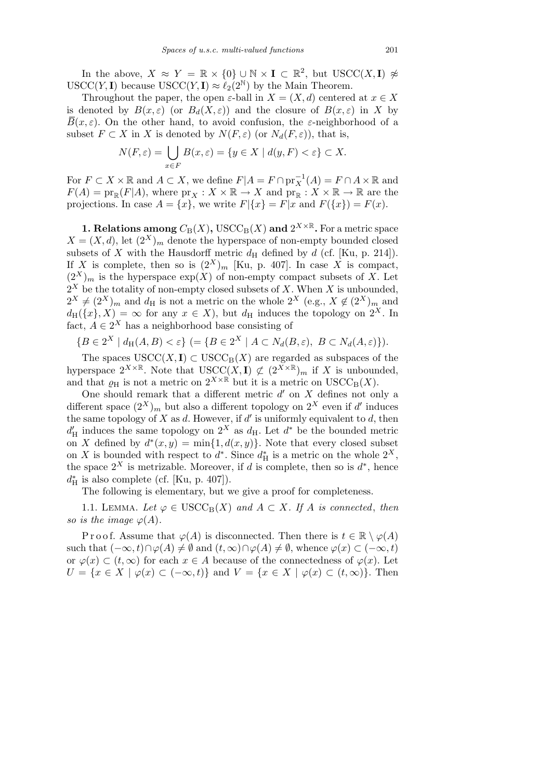In the above,  $X \approx Y = \mathbb{R} \times \{0\} \cup \mathbb{N} \times I \subset \mathbb{R}^2$ , but  $USCC(X, I) \not\approx$  $USCC(Y, I)$  because  $USCC(Y, I) \approx \ell_2(2^{\mathbb{N}})$  by the Main Theorem.

Throughout the paper, the open  $\varepsilon$ -ball in  $X = (X, d)$  centered at  $x \in X$ is denoted by  $B(x,\varepsilon)$  (or  $B_d(X,\varepsilon)$ ) and the closure of  $B(x,\varepsilon)$  in X by  $\overline{B}(x,\varepsilon)$ . On the other hand, to avoid confusion, the *ε*-neighborhood of a subset  $F \subset X$  in *X* is denoted by  $N(F, \varepsilon)$  (or  $N_d(F, \varepsilon)$ ), that is,

$$
N(F,\varepsilon) = \bigcup_{x \in F} B(x,\varepsilon) = \{ y \in X \mid d(y,F) < \varepsilon \} \subset X.
$$

For  $F \subset X \times \mathbb{R}$  and  $A \subset X$ , we define  $F|A = F \cap \text{pr}_X^{-1}(A) = F \cap A \times \mathbb{R}$  and  $F(A) = \text{pr}_{\mathbb{R}}(F|A)$ , where  $\text{pr}_X : X \times \mathbb{R} \to X$  and  $\text{pr}_{\mathbb{R}} : X \times \mathbb{R} \to \mathbb{R}$  are the projections. In case  $A = \{x\}$ , we write  $F|\{x\} = F|x$  and  $F(\{x\}) = F(x)$ .

**1. Relations among**  $C_B(X)$ , USCC<sub>B</sub> $(X)$  and  $2^{X \times \mathbb{R}}$ . For a metric space  $X = (X, d)$ , let  $(2^X)_m$  denote the hyperspace of non-empty bounded closed subsets of *X* with the Hausdorff metric  $d_H$  defined by *d* (cf. [Ku, p. 214]). If *X* is complete, then so is  $(2^X)_m$  [Ku, p. 407]. In case *X* is compact,  $(2^X)_m$  is the hyperspace  $\exp(X)$  of non-empty compact subsets of X. Let  $2^X$  be the totality of non-empty closed subsets of X. When X is unbounded,  $2^X \neq (2^X)_m$  and  $d_H$  is not a metric on the whole  $2^X$  (e.g.,  $X \notin (2^X)_m$  and  $d_H({x}, X) = \infty$  for any  $x \in X$ , but  $d_H$  induces the topology on  $2^X$ . In fact,  $A \in 2^X$  has a neighborhood base consisting of

$$
\{B\in 2^X \mid d_H(A,B)<\varepsilon\} \ (= \{B\in 2^X \mid A\subset N_d(B,\varepsilon),\ B\subset N_d(A,\varepsilon)\}).
$$

The spaces  $USCC(X, I) \subset USC_{B}(X)$  are regarded as subspaces of the hyperspace  $2^{X \times \mathbb{R}}$ . Note that  $USCC(X, I) \not\subset (2^{X \times \mathbb{R}})_{m}$  if X is unbounded, and that  $\rho_H$  is not a metric on  $2^{X \times \mathbb{R}}$  but it is a metric on  $USCC_B(X)$ .

One should remark that a different metric  $d'$  on  $X$  defines not only a different space  $(2^X)_m$  but also a different topology on  $2^X$  even if d' induces the same topology of  $X$  as  $d$ . However, if  $d'$  is uniformly equivalent to  $d$ , then  $d'_{\text{H}}$  induces the same topology on  $2^X$  as  $d_{\text{H}}$ . Let  $d^*$  be the bounded metric on *X* defined by  $d^*(x, y) = \min\{1, d(x, y)\}\$ . Note that every closed subset on *X* is bounded with respect to  $d^*$ . Since  $d^*$ <sub>H</sub> is a metric on the whole  $2^X$ , the space  $2^X$  is metrizable. Moreover, if *d* is complete, then so is  $d^*$ , hence  $d_H^*$  is also complete (cf. [Ku, p. 407]).

The following is elementary, but we give a proof for completeness.

1.1. LEMMA. Let  $\varphi \in \text{USCC}_{\text{B}}(X)$  and  $A \subset X$ . If A is connected, then *so is the image*  $\varphi(A)$ *.* 

Proof. Assume that  $\varphi(A)$  is disconnected. Then there is  $t \in \mathbb{R} \setminus \varphi(A)$ such that  $(-\infty, t) \cap \varphi(A) \neq \emptyset$  and  $(t, \infty) \cap \varphi(A) \neq \emptyset$ , whence  $\varphi(x) \subset (-\infty, t)$ or  $\varphi(x) \subset (t, \infty)$  for each  $x \in A$  because of the connectedness of  $\varphi(x)$ . Let  $U = \{x \in X \mid \varphi(x) \subset (-\infty, t)\}\$ and  $V = \{x \in X \mid \varphi(x) \subset (t, \infty)\}\$ . Then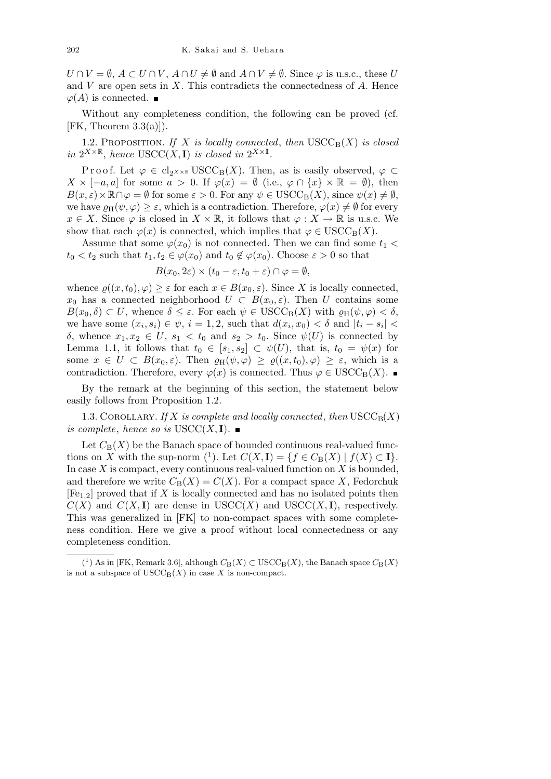$U \cap V = \emptyset$ ,  $A \subset U \cap V$ ,  $A \cap U \neq \emptyset$  and  $A \cap V \neq \emptyset$ . Since  $\varphi$  is u.s.c., these *U* and *V* are open sets in *X*. This contradicts the connectedness of *A*. Hence  $\varphi(A)$  is connected. ■

Without any completeness condition, the following can be proved (cf.  $[FK, Theorem 3.3(a)]$ .

1.2. PROPOSITION. If X is locally connected, then  $USCC_B(X)$  is closed *in*  $2^{X \times \mathbb{R}}$ *, hence* USCC(*X,* **I**) *is closed in*  $2^{X \times \mathbf{I}}$ *.* 

Proof. Let  $\varphi \in \text{cl}_{2^{X\times\mathbb{R}}} \text{USCC}_{\text{B}}(X)$ . Then, as is easily observed,  $\varphi \subset$  $X \times [-a, a]$  for some  $a > 0$ . If  $\varphi(x) = \emptyset$  (i.e.,  $\varphi \cap \{x\} \times \mathbb{R} = \emptyset$ ), then  $B(x, \varepsilon) \times \mathbb{R} \cap \varphi = \emptyset$  for some  $\varepsilon > 0$ . For any  $\psi \in \text{USCC}_{\text{B}}(X)$ , since  $\psi(x) \neq \emptyset$ , we have  $\varrho_H(\psi, \varphi) \geq \varepsilon$ , which is a contradiction. Therefore,  $\varphi(x) \neq \emptyset$  for every  $x \in X$ . Since  $\varphi$  is closed in  $X \times \mathbb{R}$ , it follows that  $\varphi : X \to \mathbb{R}$  is u.s.c. We show that each  $\varphi(x)$  is connected, which implies that  $\varphi \in \text{USCC}_{\text{B}}(X)$ .

Assume that some  $\varphi(x_0)$  is not connected. Then we can find some  $t_1$  <  $t_0 < t_2$  such that  $t_1, t_2 \in \varphi(x_0)$  and  $t_0 \notin \varphi(x_0)$ . Choose  $\varepsilon > 0$  so that

$$
B(x_0, 2\varepsilon) \times (t_0 - \varepsilon, t_0 + \varepsilon) \cap \varphi = \emptyset,
$$

whence  $\rho((x, t_0), \varphi) \geq \varepsilon$  for each  $x \in B(x_0, \varepsilon)$ . Since X is locally connected, *x*<sub>0</sub> has a connected neighborhood  $U \subset B(x_0, \varepsilon)$ . Then *U* contains some  $B(x_0, \delta) \subset U$ , whence  $\delta \leq \varepsilon$ . For each  $\psi \in \text{USCC}_{\text{B}}(X)$  with  $\varrho_{\text{H}}(\psi, \varphi) < \delta$ , we have some  $(x_i, s_i) \in \psi$ ,  $i = 1, 2$ , such that  $d(x_i, x_0) < \delta$  and  $|t_i - s_i|$ *δ*, whence  $x_1, x_2 \text{ ∈ } U$ ,  $s_1 < t_0$  and  $s_2 > t_0$ . Since  $ψ(U)$  is connected by Lemma 1.1, it follows that  $t_0 \in [s_1, s_2] \subset \psi(U)$ , that is,  $t_0 = \psi(x)$  for some  $x \in U \subset B(x_0, \varepsilon)$ . Then  $\varrho_H(\psi, \varphi) \geq \varrho((x, t_0), \varphi) \geq \varepsilon$ , which is a contradiction. Therefore, every  $\varphi(x)$  is connected. Thus  $\varphi \in \text{USCC}_{\text{B}}(X)$ .

By the remark at the beginning of this section, the statement below easily follows from Proposition 1.2.

1.3. COROLLARY. *If*  $X$  *is complete and locally connected, then*  $USCC<sub>B</sub>(X)$ *is complete, hence so is*  $USCC(X, I)$ *.* 

Let  $C_{\text{B}}(X)$  be the Banach space of bounded continuous real-valued functions on *X* with the sup-norm  $({}^1)$ . Let  $C(X, I) = \{f \in C_B(X) \mid f(X) \subset I\}$ . In case *X* is compact, every continuous real-valued function on *X* is bounded, and therefore we write  $C_B(X) = C(X)$ . For a compact space X, Fedorchuk [Fe1*,*2] proved that if *X* is locally connected and has no isolated points then  $C(X)$  and  $C(X, I)$  are dense in USCC(*X*) and USCC(*X*, *I*), respectively. This was generalized in [FK] to non-compact spaces with some completeness condition. Here we give a proof without local connectedness or any completeness condition.

 $(1)$  As in [FK, Remark 3.6], although  $C_B(X) \subset \text{USCC}_B(X)$ , the Banach space  $C_B(X)$ is not a subspace of  $USCC_B(X)$  in case X is non-compact.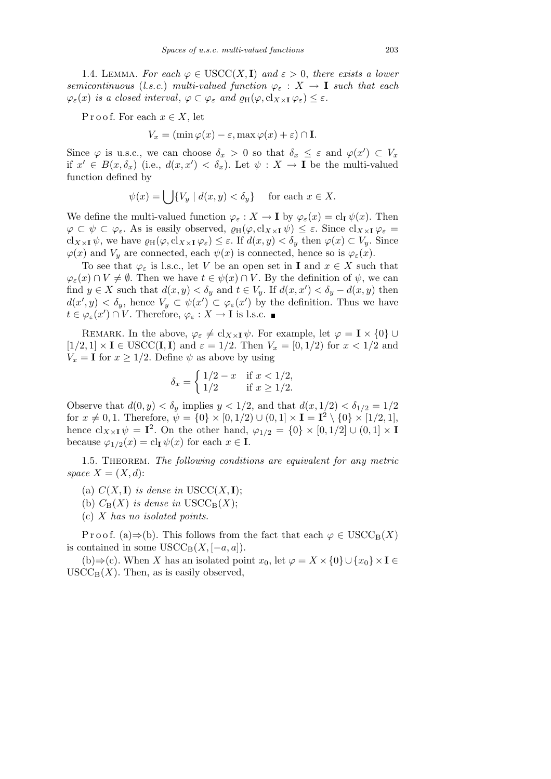1.4. LEMMA. For each  $\varphi \in \text{USCC}(X, \mathbf{I})$  and  $\varepsilon > 0$ , there exists a lower *semicontinuous* (*l.s.c.*) *multi-valued function*  $\varphi_{\varepsilon}: X \to \mathbf{I}$  *such that each*  $\varphi_{\varepsilon}(x)$  *is a closed interval,*  $\varphi \subset \varphi_{\varepsilon}$  *and*  $\varrho_{\mathrm{H}}(\varphi, \mathrm{cl}_{X \times I} \varphi_{\varepsilon}) \leq \varepsilon$ *.* 

P r o o f. For each  $x \in X$ , let

$$
V_x = (\min \varphi(x) - \varepsilon, \max \varphi(x) + \varepsilon) \cap \mathbf{I}.
$$

Since  $\varphi$  is u.s.c., we can choose  $\delta_x > 0$  so that  $\delta_x \leq \varepsilon$  and  $\varphi(x') \subset V_x$ if  $x' \in B(x, \delta_x)$  (i.e.,  $d(x, x') < \delta_x$ ). Let  $\psi : X \to \mathbf{I}$  be the multi-valued function defined by

$$
\psi(x) = \bigcup \{ V_y \mid d(x, y) < \delta_y \} \quad \text{for each } x \in X.
$$

We define the multi-valued function  $\varphi_{\varepsilon}: X \to \mathbf{I}$  by  $\varphi_{\varepsilon}(x) = \mathrm{cl}_{\mathbf{I}} \psi(x)$ . Then  $\varphi \subset \psi \subset \varphi_{\varepsilon}$ . As is easily observed,  $\varrho_{\text{H}}(\varphi, \text{cl}_{X \times I} \psi) \leq \varepsilon$ . Since  $\text{cl}_{X \times I} \varphi_{\varepsilon} =$  $cl_{X\times I}\psi$ , we have  $\varrho_H(\varphi, cl_{X\times I}\varphi_{\varepsilon}) \leq \varepsilon$ . If  $d(x, y) < \delta_y$  then  $\varphi(x) \subset V_y$ . Since  $\varphi(x)$  and  $V_y$  are connected, each  $\psi(x)$  is connected, hence so is  $\varphi_{\varepsilon}(x)$ .

To see that  $\varphi_{\varepsilon}$  is l.s.c., let *V* be an open set in **I** and  $x \in X$  such that  $\varphi_{\varepsilon}(x) \cap V \neq \emptyset$ . Then we have  $t \in \psi(x) \cap V$ . By the definition of  $\psi$ , we can find  $y \in X$  such that  $d(x, y) < \delta_y$  and  $t \in V_y$ . If  $d(x, x') < \delta_y - d(x, y)$  then  $d(x', y) < \delta_y$ , hence  $V_y \subset \psi(x') \subset \varphi_{\varepsilon}(x')$  by the definition. Thus we have  $t \in \varphi_{\varepsilon}(x') \cap V$ . Therefore,  $\varphi_{\varepsilon}: X \to \mathbf{I}$  is l.s.c.

REMARK. In the above,  $\varphi_{\varepsilon} \neq cl_{X \times I} \psi$ . For example, let  $\varphi = I \times \{0\} \cup$  $[1/2, 1] \times I \in \text{USCC}(\mathbf{I}, \mathbf{I})$  and  $\varepsilon = 1/2$ . Then  $V_x = [0, 1/2)$  for  $x < 1/2$  and  $V_x = \mathbf{I}$  for  $x \geq 1/2$ . Define  $\psi$  as above by using

$$
\delta_x = \begin{cases} 1/2 - x & \text{if } x < 1/2, \\ 1/2 & \text{if } x \ge 1/2. \end{cases}
$$

Observe that  $d(0, y) < \delta_y$  implies  $y < 1/2$ , and that  $d(x, 1/2) < \delta_{1/2} = 1/2$ for  $x \neq 0, 1$ . Therefore,  $\psi = \{0\} \times [0, 1/2) \cup (0, 1] \times I = I^2 \setminus \{0\} \times [1/2, 1],$ hence  $cl_{X\times I}\psi = I^2$ . On the other hand,  $\varphi_{1/2} = \{0\} \times [0, 1/2] \cup (0, 1] \times I$ because  $\varphi_{1/2}(x) = \text{cl}_{\mathbf{I}} \psi(x)$  for each  $x \in \mathbf{I}$ .

1.5. Theorem. *The following conditions are equivalent for any metric space*  $X = (X, d)$ :

- (a)  $C(X, I)$  *is dense in*  $USCC(X, I)$ ;
- (b)  $C_B(X)$  *is dense in* USCC<sub>B</sub> $(X)$ ;
- (c) *X has no isolated points.*

Proof. (a) $\Rightarrow$ (b). This follows from the fact that each  $\varphi \in \text{USCC}_{\text{B}}(X)$ is contained in some  $USCC_B(X, [-a, a])$ .

(b)⇒(c). When *X* has an isolated point  $x_0$ , let  $\varphi = X \times \{0\} \cup \{x_0\} \times \mathbf{I} \in$  $USCC<sub>B</sub>(X)$ . Then, as is easily observed,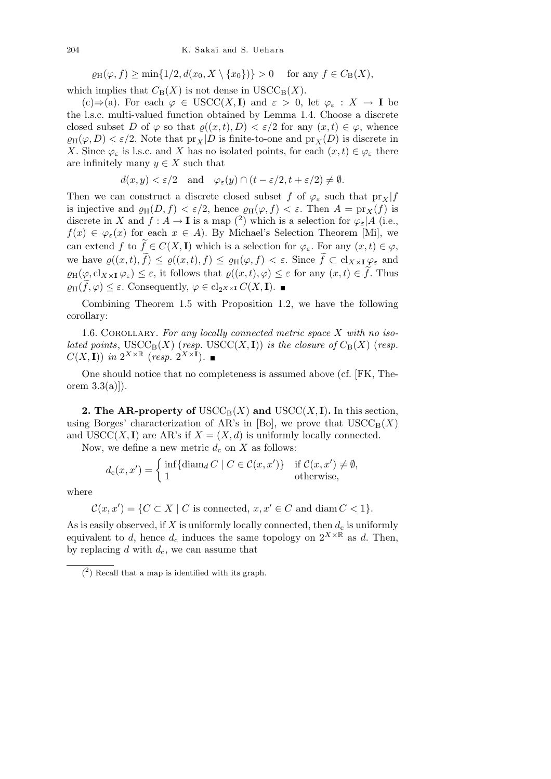$\varrho_{\text{H}}(\varphi, f) \ge \min\{1/2, d(x_0, X \setminus \{x_0\})\} > 0$  for any  $f \in C_{\text{B}}(X)$ ,

which implies that  $C_B(X)$  is not dense in  $USCC_B(X)$ .

(c)*⇒*(a). For each *ϕ ∈* USCC(*X,* **I**) and *ε >* 0, let *ϕ<sup>ε</sup>* : *X →* **I** be the l.s.c. multi-valued function obtained by Lemma 1.4. Choose a discrete closed subset *D* of  $\varphi$  so that  $\varrho((x,t), D) < \varepsilon/2$  for any  $(x,t) \in \varphi$ , whence  $\varrho_H(\varphi, D) < \varepsilon/2$ . Note that  $\mathrm{pr}_X|D$  is finite-to-one and  $\mathrm{pr}_X(D)$  is discrete in *X*. Since  $\varphi_{\varepsilon}$  is l.s.c. and *X* has no isolated points, for each  $(x, t) \in \varphi_{\varepsilon}$  there are infinitely many  $y \in X$  such that

$$
d(x, y) < \varepsilon/2
$$
 and  $\varphi_{\varepsilon}(y) \cap (t - \varepsilon/2, t + \varepsilon/2) \neq \emptyset$ .

Then we can construct a discrete closed subset *f* of  $\varphi_{\varepsilon}$  such that  $\text{pr}_X$ *|f* is injective and  $\varrho_H(D, f) < \varepsilon/2$ , hence  $\varrho_H(\varphi, f) < \varepsilon$ . Then  $A = \text{pr}_X(f)$  is discrete in *X* and  $f : A \to \mathbf{I}$  is a map  $\binom{2}{2}$  which is a selection for  $\varphi_{\varepsilon} | A$  (i.e.,  $f(x) \in \varphi_{\varepsilon}(x)$  for each  $x \in A$ ). By Michael's Selection Theorem [Mi], we can extend *f* to  $\widetilde{f} \in C(X, \mathbf{I})$  which is a selection for  $\varphi_{\varepsilon}$ . For any  $(x, t) \in \varphi$ , we have  $\varrho((x,t), \tilde{f}) \leq \varrho((x,t), f) \leq \varrho_H(\varphi, f) < \varepsilon$ . Since  $\tilde{f} \subset cl_{X \times \mathbf{I}} \varphi_{\varepsilon}$  and  $\varrho_H(\varphi, \operatorname{cl}_{X \times \mathbf{I}} \varphi_\varepsilon) \leq \varepsilon$ , it follows that  $\varrho((x, t), \varphi) \leq \varepsilon$  for any  $(x, t) \in \tilde{f}$ . Thus  $\varrho_{\text{H}}(f, \varphi) \leq \varepsilon$ . Consequently,  $\varphi \in \text{cl}_{2^{X \times \text{I}}} C(X, \mathbf{I})$ .

Combining Theorem 1.5 with Proposition 1.2, we have the following corollary:

1.6. COROLLARY. For any locally connected metric space X with no iso*lated points*,  $USCC<sub>B</sub>(X)$  (*resp.*  $USCC(X, I)$ *) is the closure of*  $C<sub>B</sub>(X)$  (*resp.*  $C(X, I)$  *in*  $2^{X \times \mathbb{R}}$  (*resp.*  $2^{X \times I}$ )*.* 

One should notice that no completeness is assumed above (cf. [FK, Theorem  $3.3(a)$ .

**2. The AR-property of**  $USCC<sub>B</sub>(X)$  and  $USCC(X, I)$ . In this section, using Borges' characterization of AR's in [Bo], we prove that  $USCC_B(X)$ and USCC(*X*, **I**) are AR's if  $X = (X, d)$  is uniformly locally connected.

Now, we define a new metric  $d_c$  on  $X$  as follows:

$$
d_{\mathbf{c}}(x, x') = \begin{cases} \inf \{ \operatorname{diam}_{d} C \mid C \in \mathcal{C}(x, x') \} & \text{if } \mathcal{C}(x, x') \neq \emptyset, \\ 1 & \text{otherwise,} \end{cases}
$$

where

$$
\mathcal{C}(x, x') = \{ C \subset X \mid C \text{ is connected, } x, x' \in C \text{ and } \text{diam } C < 1 \}.
$$

As is easily observed, if  $X$  is uniformly locally connected, then  $d_c$  is uniformly equivalent to *d*, hence  $d_c$  induces the same topology on  $2^{X \times \mathbb{R}}$  as *d*. Then, by replacing *d* with *d*c, we can assume that

<sup>(</sup> 2 ) Recall that a map is identified with its graph.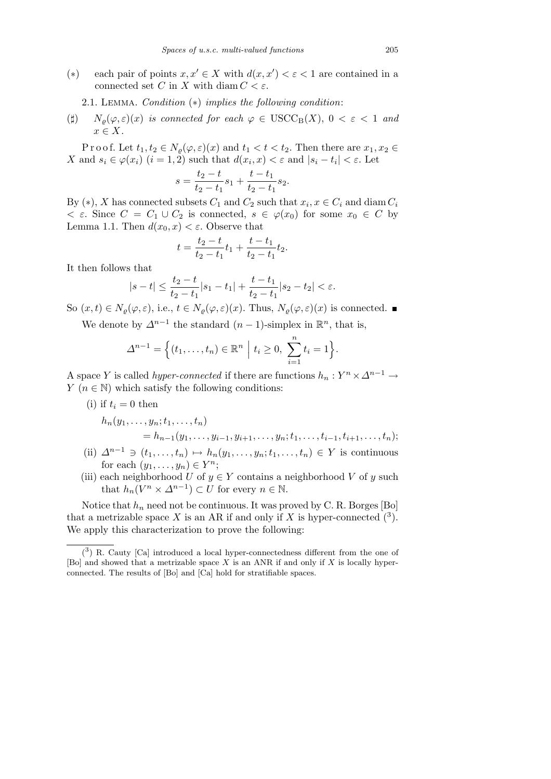(\*) each pair of points  $x, x' \in X$  with  $d(x, x') < \varepsilon < 1$  are contained in a connected set *C* in *X* with diam  $C < \varepsilon$ .

2.1. Lemma. *Condition* (*∗*) *implies the following condition*:

( $\sharp$ )  $N_o(\varphi, \varepsilon)(x)$  *is connected for each*  $\varphi \in \text{USCC}_{\text{B}}(X), 0 < \varepsilon < 1$  *and x ∈ X.*

Proof. Let  $t_1, t_2 \in N_\varrho(\varphi, \varepsilon)(x)$  and  $t_1 < t < t_2$ . Then there are  $x_1, x_2 \in$ X and  $s_i \in \varphi(x_i)$   $(i = 1, 2)$  such that  $d(x_i, x) < \varepsilon$  and  $|s_i - t_i| < \varepsilon$ . Let

$$
s = \frac{t_2 - t}{t_2 - t_1} s_1 + \frac{t - t_1}{t_2 - t_1} s_2.
$$

By  $(*)$ , *X* has connected subsets  $C_1$  and  $C_2$  such that  $x_i, x \in C_i$  and diam  $C_i$  $\langle \epsilon \rangle \in \mathcal{E}$ . Since  $C = C_1 \cup C_2$  is connected,  $s \in \varphi(x_0)$  for some  $x_0 \in C$  by Lemma 1.1. Then  $d(x_0, x) < \varepsilon$ . Observe that

$$
t = \frac{t_2 - t}{t_2 - t_1}t_1 + \frac{t - t_1}{t_2 - t_1}t_2.
$$

It then follows that

$$
|s-t|\leq \frac{t_2-t}{t_2-t_1}|s_1-t_1|+\frac{t-t_1}{t_2-t_1}|s_2-t_2|<\varepsilon.
$$

So  $(x, t) \in N_o(\varphi, \varepsilon)$ , i.e.,  $t \in N_o(\varphi, \varepsilon)(x)$ . Thus,  $N_o(\varphi, \varepsilon)(x)$  is connected.

We denote by  $\Delta^{n-1}$  the standard  $(n-1)$ -simplex in  $\mathbb{R}^n$ , that is,

$$
\Delta^{n-1} = \Big\{ (t_1, \ldots, t_n) \in \mathbb{R}^n \; \Big| \; t_i \geq 0, \; \sum_{i=1}^n t_i = 1 \Big\}.
$$

A space *Y* is called *hyper-connected* if there are functions  $h_n: Y^n \times \Delta^{n-1} \to$ *Y* ( $n \in \mathbb{N}$ ) which satisfy the following conditions:

(i) if 
$$
t_i = 0
$$
 then  
\n
$$
h_n(y_1, \dots, y_n; t_1, \dots, t_n)
$$
\n
$$
= h_{n-1}(y_1, \dots, y_{i-1}, y_{i+1}, \dots, y_n; t_1, \dots, t_{i-1}, t_{i+1}, \dots, t_n);
$$

- $(i)$   $\Delta^{n-1}$  ∋  $(t_1, \ldots, t_n)$   $\mapsto h_n(y_1, \ldots, y_n; t_1, \ldots, t_n)$   $\in Y$  is continuous for each  $(y_1, \ldots, y_n) \in Y^n$ ;
- (iii) each neighborhood *U* of  $y \in Y$  contains a neighborhood *V* of *y* such that  $h_n(V^n \times \Delta^{n-1}) \subset U$  for every  $n \in \mathbb{N}$ .

Notice that  $h_n$  need not be continuous. It was proved by C. R. Borges [Bo] that a metrizable space X is an AR if and only if X is hyper-connected  $(3)$ . We apply this characterization to prove the following:

 $(3)$  R. Cauty [Ca] introduced a local hyper-connectedness different from the one of [Bo] and showed that a metrizable space *X* is an ANR if and only if *X* is locally hyperconnected. The results of [Bo] and [Ca] hold for stratifiable spaces.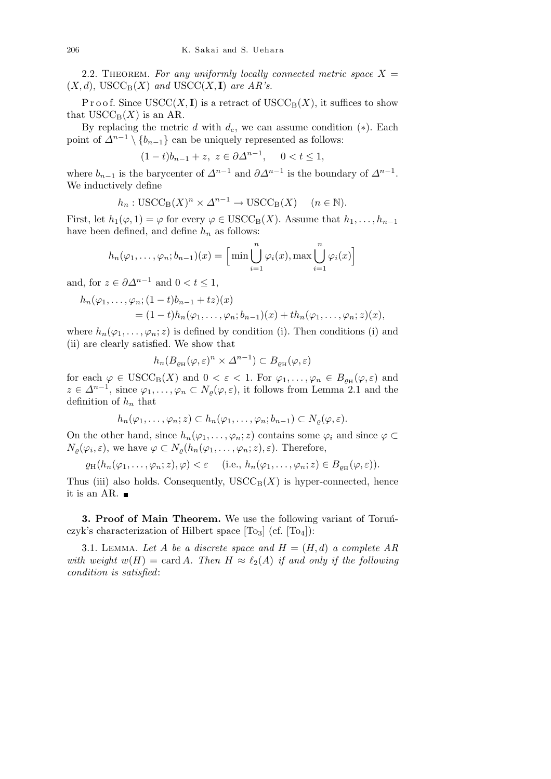2.2. THEOREM. For any uniformly locally connected metric space  $X =$  $(X, d)$ , USCC<sub>B</sub> $(X)$  *and* USCC $(X, I)$  *are AR's.* 

P r o o f. Since  $USCC(X, I)$  is a retract of  $USCC_B(X)$ , it suffices to show that  $USCC_B(X)$  is an AR.

By replacing the metric *d* with  $d_c$ , we can assume condition  $(*)$ . Each point of  $\Delta^{n-1} \setminus \{b_{n-1}\}\$ can be uniquely represented as follows:

$$
(1-t)b_{n-1} + z, z \in \partial \Delta^{n-1}, \quad 0 < t \le 1,
$$

where  $b_{n-1}$  is the barycenter of  $\Delta^{n-1}$  and  $\partial \Delta^{n-1}$  is the boundary of  $\Delta^{n-1}$ . We inductively define

$$
h_n: \text{USCC}_B(X)^n \times \Delta^{n-1} \to \text{USCC}_B(X) \quad (n \in \mathbb{N}).
$$

First, let  $h_1(\varphi, 1) = \varphi$  for every  $\varphi \in \text{USCC}_{\text{B}}(X)$ . Assume that  $h_1, \ldots, h_{n-1}$ have been defined, and define  $h_n$  as follows:

$$
h_n(\varphi_1,\ldots,\varphi_n; b_{n-1})(x) = \Big[\min \bigcup_{i=1}^n \varphi_i(x), \max \bigcup_{i=1}^n \varphi_i(x)\Big]
$$

and, for  $z \in \partial \Delta^{n-1}$  and  $0 < t \leq 1$ ,

$$
h_n(\varphi_1,\ldots,\varphi_n;(1-t)b_{n-1}+tz)(x)
$$
  
=  $(1-t)h_n(\varphi_1,\ldots,\varphi_n;b_{n-1})(x)+th_n(\varphi_1,\ldots,\varphi_n;z)(x),$ 

where  $h_n(\varphi_1,\ldots,\varphi_n;z)$  is defined by condition (i). Then conditions (i) and (ii) are clearly satisfied. We show that

$$
h_n(B_{\varrho_H}(\varphi,\varepsilon)^n \times \varDelta^{n-1}) \subset B_{\varrho_H}(\varphi,\varepsilon)
$$

for each  $\varphi \in \text{USCC}_{B}(X)$  and  $0 < \varepsilon < 1$ . For  $\varphi_1, \ldots, \varphi_n \in B_{\varrho_H}(\varphi, \varepsilon)$  and  $z \in \Delta^{n-1}$ , since  $\varphi_1, \ldots, \varphi_n \subset N_\varrho(\varphi, \varepsilon)$ , it follows from Lemma 2.1 and the definition of *h<sup>n</sup>* that

$$
h_n(\varphi_1,\ldots,\varphi_n;z)\subset h_n(\varphi_1,\ldots,\varphi_n;b_{n-1})\subset N_{\varrho}(\varphi,\varepsilon).
$$

On the other hand, since  $h_n(\varphi_1, \ldots, \varphi_n; z)$  contains some  $\varphi_i$  and since  $\varphi \subset$  $N_{\varrho}(\varphi_i, \varepsilon)$ , we have  $\varphi \subset N_{\varrho}(h_n(\varphi_1, \ldots, \varphi_n; z), \varepsilon)$ . Therefore,

 $\varrho_H(h_n(\varphi_1, \ldots, \varphi_n; z), \varphi) < \varepsilon$  (i.e.,  $h_n(\varphi_1, \ldots, \varphi_n; z) \in B_{\varrho_H}(\varphi, \varepsilon)$ ).

Thus (iii) also holds. Consequently,  $USCC_B(X)$  is hyper-connected, hence it is an AR.  $\blacksquare$ 

**3. Proof of Main Theorem.** We use the following variant of Torunczyk's characterization of Hilbert space  $[T<sub>03</sub>]$  (cf.  $[T<sub>04</sub>]$ ):

3.1. LEMMA. Let A be a discrete space and  $H = (H, d)$  a complete AR *with weight*  $w(H) = \text{card } A$ *. Then*  $H \approx \ell_2(A)$  *if and only if the following condition is satisfied*: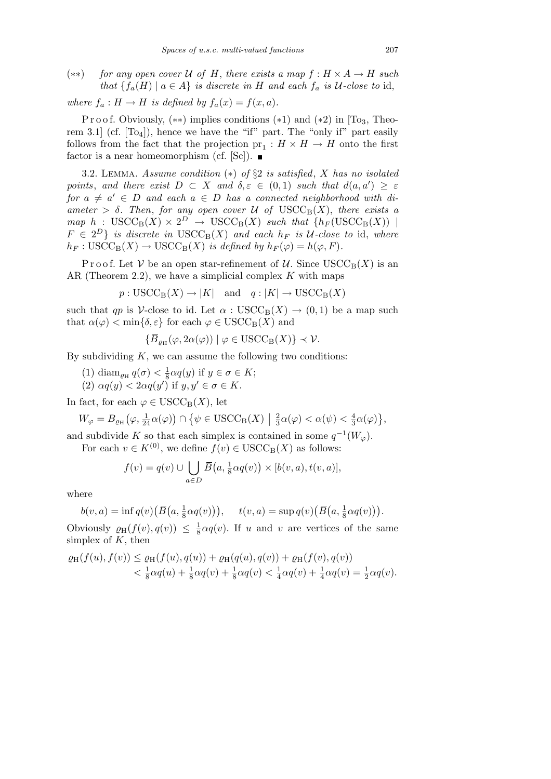(*∗∗*) *for any open cover U of H*, *there exists a map f* : *H × A → H such that*  ${f_a(H) \mid a \in A}$  *is discrete in H and each*  $f_a$  *is U-close to* id,

*where*  $f_a: H \to H$  *is defined by*  $f_a(x) = f(x, a)$ *.* 

P r o o f. Obviously,  $(**)$  implies conditions  $(*1)$  and  $(*2)$  in [To<sub>3</sub>, Theorem 3.1 (cf.  $[T<sub>04</sub>]$ ), hence we have the "if" part. The "only if" part easily follows from the fact that the projection  $pr_1: H \times H \to H$  onto the first factor is a near homeomorphism (cf.  $[Sc]$ ).

3.2. Lemma. *Assume condition* (*∗*) *of §*2 *is satisfied*, *X has no isolated points, and there exist*  $D \subset X$  *and*  $\delta, \varepsilon \in (0,1)$  *such that*  $d(a, a') \geq \varepsilon$ *for*  $a \neq a' \in D$  *and each*  $a \in D$  *has a connected neighborhood with di* $a$ *meter*  $> \delta$ *. Then, for any open cover*  $\mathcal{U}$  *of*  $\text{USCC}_{\text{B}}(X)$ *, there exists a*  $map \ h : \ \text{USCC}_{\text{B}}(X) \times 2^D \rightarrow \ \text{USCC}_{\text{B}}(X) \ \text{such that} \ \{h_F(\text{USCC}_{\text{B}}(X)) \ \mid$  $F \in 2^D$  *is discrete in*  $USCC_B(X)$  *and each*  $h_F$  *is U-close to* id, *where*  $h_F: \text{USCC}_B(X) \to \text{USCC}_B(X)$  *is defined by*  $h_F(\varphi) = h(\varphi, F)$ *.* 

Proof. Let *V* be an open star-refinement of *U*. Since  $USCC_B(X)$  is an AR (Theorem 2.2), we have a simplicial complex *K* with maps

$$
p: \text{USCC}_{\text{B}}(X) \to |K| \text{ and } q: |K| \to \text{USCC}_{\text{B}}(X)
$$

such that *qp* is *V*-close to id. Let  $\alpha$  : USCC<sub>B</sub>(X)  $\rightarrow$  (0,1) be a map such that  $\alpha(\varphi) < \min\{\delta, \varepsilon\}$  for each  $\varphi \in \text{USCC}_{\text{B}}(X)$  and

$$
\{\overline{B}_{\varrho_{\rm H}}(\varphi,2\alpha(\varphi))\mid\varphi\in{\rm USC}_{\rm B}(X)\}\prec\mathcal{V}.
$$

By subdividing *K*, we can assume the following two conditions:

- $(1)$  diam<sub> $\varrho_H$ </sub>  $q(\sigma) < \frac{1}{8}$  $\frac{1}{8} \alpha q(y)$  if  $y \in \sigma \in K$ ;
- $(2) \alpha q(y) < 2\alpha q(y')$  if  $y, y' \in \sigma \in K$ .

In fact, for each  $\varphi \in \text{USCC}_{\text{B}}(X)$ , let

$$
W_{\varphi} = B_{\varrho_{\rm H}}\big(\varphi,\tfrac{1}{24}\alpha(\varphi)\big) \cap \big\{\psi \in \text{USCC}_{\text{B}}(X) \bigm| \tfrac{2}{3}\alpha(\varphi) < \alpha(\psi) < \tfrac{4}{3}\alpha(\varphi)\big\},
$$

and subdivide K so that each simplex is contained in some  $q^{-1}(W_{\varphi})$ .

For each  $v \in K^{(0)}$ , we define  $f(v) \in \text{USCC}_{\text{B}}(X)$  as follows:  $\mathbf{r}$ 

$$
f(v) = q(v) \cup \bigcup_{a \in D} \overline{B}(a, \frac{1}{8}\alpha q(v)) \times [b(v, a), t(v, a)],
$$

where

$$
b(v, a) = \inf q(v) \big( \overline{B}\big(a, \frac{1}{8}\alpha q(v)\big) \big), \quad t(v, a) = \sup q(v) \big( \overline{B}\big(a, \frac{1}{8}\alpha q(v)\big) \big).
$$

Obviously  $\varrho_H(f(v), q(v)) \leq \frac{1}{8}$  $\frac{1}{8} \alpha q(v)$ . If *u* and *v* are vertices of the same simplex of *K*, then

$$
\varrho_{H}(f(u), f(v)) \leq \varrho_{H}(f(u), q(u)) + \varrho_{H}(q(u), q(v)) + \varrho_{H}(f(v), q(v)) \n< \frac{1}{8}\alpha q(u) + \frac{1}{8}\alpha q(v) + \frac{1}{8}\alpha q(v) < \frac{1}{4}\alpha q(v) + \frac{1}{4}\alpha q(v) = \frac{1}{2}\alpha q(v).
$$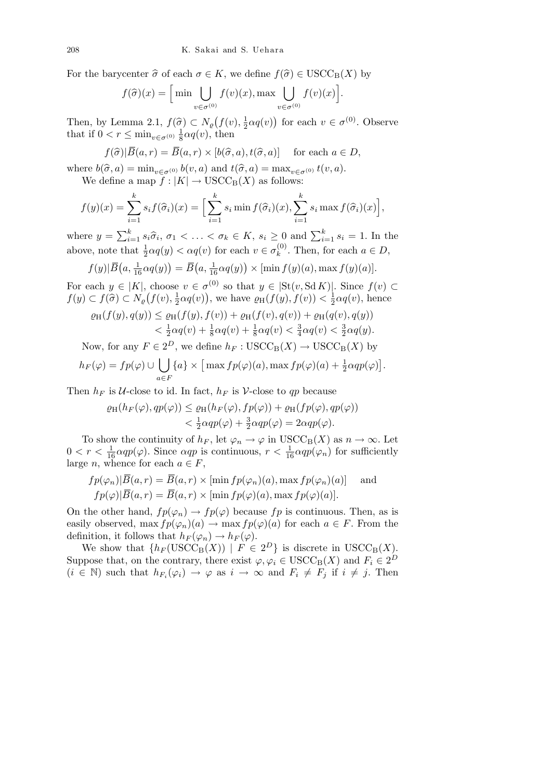For the barycenter  $\hat{\sigma}$  of each  $\sigma \in K$ , we define  $f(\hat{\sigma}) \in \text{USCC}_{\text{B}}(X)$  by

$$
f(\widehat{\sigma})(x) = \left[\min \bigcup_{v \in \sigma^{(0)}} f(v)(x), \max \bigcup_{v \in \sigma^{(0)}} f(v)(x)\right]
$$

*.*

Then, by Lemma 2.1,  $f(\hat{\sigma}) \subset N_{\rho}$  $f(v), \frac{1}{2}$  $\frac{1}{2}\alpha q(v)$ for each  $v \in \sigma^{(0)}$ . Observe that if  $0 < r \leq \min_{v \in \sigma^{(0)}} \frac{1}{8}$  $\frac{1}{8} \alpha q(v)$ , then

$$
f(\widehat{\sigma})|\overline{B}(a,r)=\overline{B}(a,r)\times[b(\widehat{\sigma},a),t(\widehat{\sigma},a)]
$$
 for each  $a\in D$ ,

where  $b(\hat{\sigma}, a) = \min_{v \in \sigma^{(0)}} b(v, a)$  and  $t(\hat{\sigma}, a) = \max_{v \in \sigma^{(0)}} t(v, a)$ . We define a map  $f : |K| \to \text{USCC}_{\text{B}}(X)$  as follows:

$$
f(y)(x) = \sum_{i=1}^{k} s_i f(\widehat{\sigma}_i)(x) = \Big[ \sum_{i=1}^{k} s_i \min f(\widehat{\sigma}_i)(x), \sum_{i=1}^{k} s_i \max f(\widehat{\sigma}_i)(x) \Big],
$$

where  $y = \sum_{i=1}^{k}$  $\sum_{i=1}^k s_i \hat{\sigma}_i$ ,  $\sigma_1 < \ldots < \sigma_k \in K$ ,  $s_i \geq 0$  and  $\sum_{i=1}^k s_i = 1$ . In the above, note that  $\frac{1}{2}\alpha q(y) < \alpha q(v)$  for each  $v \in \sigma_k^{(0)}$  $k^{(0)}$ . Then, for each  $a \in D$ ,  $\frac{2}{5}$  (1, 2, 3)

$$
f(y|\overline{B}(a,\frac{1}{16}\alpha q(y)) = \overline{B}(a,\frac{1}{16}\alpha q(y)) \times [\min f(y)(a), \max f(y)(a)].
$$

For each  $y \in |K|$ , choose  $v \in \sigma^{(0)}$  so that  $y \in [\text{St}(v, \text{Sd} K)]$ . Since  $f(v) \subset$  $f(y) \subset f(\widehat{\sigma}) \subset N_{\varrho}(f(v),\frac{1}{2})$  $\frac{1}{2}\alpha q(v)$ , we have  $\varrho_H(f(y), f(v)) < \frac{1}{2}$  $\frac{1}{2}\alpha q(v)$ , hence

$$
\varrho_{\mathrm{H}}(f(y), q(y)) \leq \varrho_{\mathrm{H}}(f(y), f(v)) + \varrho_{\mathrm{H}}(f(v), q(v)) + \varrho_{\mathrm{H}}(q(v), q(y)) \n< \frac{1}{2}\alpha q(v) + \frac{1}{8}\alpha q(v) + \frac{3}{8}\alpha q(v) < \frac{3}{4}\alpha q(v) < \frac{3}{2}\alpha q(y).
$$

Now, for any  $F \in 2^D$ , we define  $h_F : \text{USCC}_B(X) \to \text{USCC}_B(X)$  by

$$
h_F(\varphi) = fp(\varphi) \cup \bigcup_{a \in F} \{a\} \times \big[\max fp(\varphi)(a), \max fp(\varphi)(a) + \frac{1}{2}\alpha qp(\varphi)\big].
$$

Then  $h_F$  is *U*-close to id. In fact,  $h_F$  is *V*-close to *qp* because

$$
\varrho_{\mathrm{H}}(h_F(\varphi), qp(\varphi)) \leq \varrho_{\mathrm{H}}(h_F(\varphi), fp(\varphi)) + \varrho_{\mathrm{H}}(fp(\varphi), qp(\varphi)) \n<\frac{1}{2}\alpha qp(\varphi) + \frac{3}{2}\alpha qp(\varphi) = 2\alpha qp(\varphi).
$$

To show the continuity of  $h_F$ , let  $\varphi_n \to \varphi$  in USCC<sub>B</sub>(*X*) as  $n \to \infty$ . Let  $0 < r < \frac{1}{16} \alpha q p(\varphi)$ . Since  $\alpha q p$  is continuous,  $r < \frac{1}{16} \alpha q p(\varphi_n)$  for sufficiently large *n*, whence for each  $a \in F$ ,

$$
fp(\varphi_n)|\overline{B}(a,r) = \overline{B}(a,r) \times \left[\min fp(\varphi_n)(a), \max fp(\varphi_n)(a)\right] \quad \text{and} \quad
$$
  

$$
fp(\varphi)|\overline{B}(a,r) = \overline{B}(a,r) \times \left[\min fp(\varphi)(a), \max fp(\varphi)(a)\right].
$$

On the other hand,  $fp(\varphi_n) \to fp(\varphi)$  because  $fp$  is continuous. Then, as is easily observed, max  $fp(\varphi_n)(a) \to \max fp(\varphi)(a)$  for each  $a \in F$ . From the definition, it follows that  $h_F(\varphi_n) \to h_F(\varphi)$ .

We show that  $\{h_F(\text{USCC}_B(X)) \mid F \in 2^D\}$  is discrete in  $\text{USCC}_B(X)$ . Suppose that, on the contrary, there exist  $\varphi, \varphi_i \in \text{USCC}_B(X)$  and  $F_i \in 2^D$  $(i \in \mathbb{N})$  such that  $h_{F_i}(\varphi_i) \to \varphi$  as  $i \to \infty$  and  $F_i \neq F_j$  if  $i \neq j$ . Then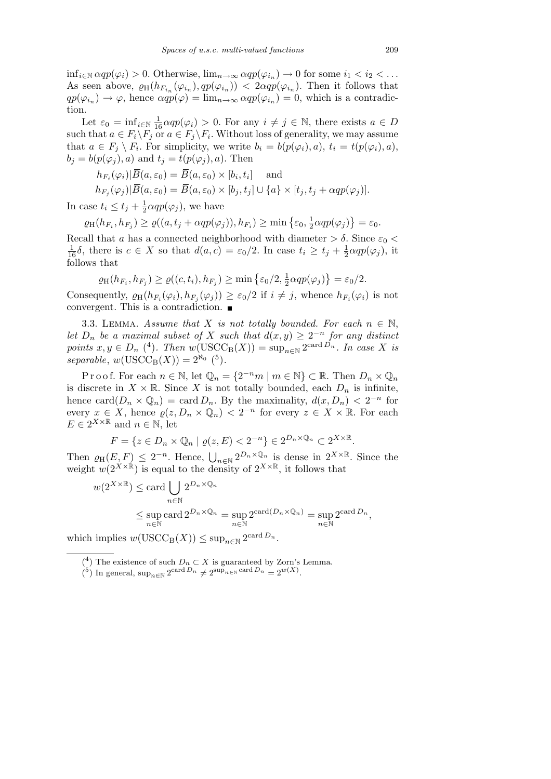$\inf_{i \in \mathbb{N}} \alpha q p(\varphi_i) > 0$ . Otherwise,  $\lim_{n \to \infty} \alpha q p(\varphi_{i_n}) \to 0$  for some  $i_1 < i_2 < \dots$ As seen above,  $\varrho_H(h_{F_{i_n}}(\varphi_{i_n}), qp(\varphi_{i_n}))$  *< 2* $\alpha qp(\varphi_{i_n})$ . Then it follows that  $qp(\varphi_{i_n}) \to \varphi$ , hence  $\alpha qp(\varphi) = \lim_{n \to \infty} \alpha qp(\varphi_{i_n}) = 0$ , which is a contradiction.

Let  $\varepsilon_0 = \inf_{i \in \mathbb{N}} \frac{1}{16} \alpha q p(\varphi_i) > 0$ . For any  $i \neq j \in \mathbb{N}$ , there exists  $a \in D$ such that  $a \in F_i \backslash F_j$  or  $a \in F_j \backslash F_i$ . Without loss of generality, we may assume that  $a \in F_j \setminus F_i$ . For simplicity, we write  $b_i = b(p(\varphi_i), a), t_i = t(p(\varphi_i), a),$  $b_i = b(p(\varphi_i), a)$  and  $t_i = t(p(\varphi_i), a)$ . Then

$$
h_{F_i}(\varphi_i)|\overline{B}(a,\varepsilon_0) = \overline{B}(a,\varepsilon_0) \times [b_i,t_i] \quad \text{and}
$$
  
\n
$$
h_{F_j}(\varphi_j)|\overline{B}(a,\varepsilon_0) = \overline{B}(a,\varepsilon_0) \times [b_j,t_j] \cup \{a\} \times [t_j,t_j + \alpha qp(\varphi_j)].
$$

In case  $t_i \leq t_j + \frac{1}{2}$  $\frac{1}{2} \alpha q p(\varphi_j)$ , we have

 $\varrho_{\text{H}}(h_{F_i}, h_{F_j}) \geq \varrho((a, t_j + \alpha qp(\varphi_j)), h_{F_i}) \geq \min\left\{\varepsilon_0, \frac{1}{2}\right\}$  $\frac{1}{2} \alpha q p(\varphi_j)$  $\overline{a}$  $=\varepsilon_0$ .

Recall that *a* has a connected neighborhood with diameter  $> \delta$ . Since  $\varepsilon_0$  <  $\frac{1}{16}\delta$ , there is  $c \in X$  so that  $d(a, c) = \varepsilon_0/2$ . In case  $t_i \geq t_j + \frac{1}{2}$  $\frac{1}{2} \alpha q p(\varphi_j)$ , it follows that  $\mathbf{r}$ 

$$
\varrho_{\mathrm{H}}(h_{F_i}, h_{F_j}) \geq \varrho((c, t_i), h_{F_j}) \geq \min \left\{ \varepsilon_0/2, \frac{1}{2} \alpha q p(\varphi_j) \right\} = \varepsilon_0/2.
$$

Consequently,  $\varrho_H(h_{F_i}(\varphi_i), h_{F_j}(\varphi_j)) \geq \varepsilon_0/2$  if  $i \neq j$ , whence  $h_{F_i}(\varphi_i)$  is not convergent. This is a contradiction.

3.3. LEMMA. *Assume that X is not totally bounded. For each*  $n \in \mathbb{N}$ , *let*  $D_n$  *be a maximal subset of X such that*  $d(x, y) \geq 2^{-n}$  *for any distinct points*  $x, y \in D_n$  (<sup>4</sup>)*. Then*  $w(\text{USCC}_B(X)) = \sup_{n \in \mathbb{N}} 2^{\text{card }D_n}$ *. In case X is*  $separable, w(USCC_{B}(X)) = 2^{\aleph_{0}}$  (<sup>5</sup>).

Proof. For each  $n \in \mathbb{N}$ , let  $\mathbb{Q}_n = \{2^{-n}m \mid m \in \mathbb{N}\} \subset \mathbb{R}$ . Then  $D_n \times \mathbb{Q}_n$ is discrete in  $X \times \mathbb{R}$ . Since X is not totally bounded, each  $D_n$  is infinite, hence card $(D_n \times \mathbb{Q}_n) = \text{card } D_n$ . By the maximality,  $d(x, D_n) < 2^{-n}$  for every  $x \in X$ , hence  $\varrho(z, D_n \times \mathbb{Q}_n) < 2^{-n}$  for every  $z \in X \times \mathbb{R}$ . For each  $E \in 2^{X \times \mathbb{R}}$  and  $n \in \mathbb{N}$ , let

$$
F = \{ z \in D_n \times \mathbb{Q}_n \mid \varrho(z, E) < 2^{-n} \} \in 2^{D_n \times \mathbb{Q}_n} \subset 2^{X \times \mathbb{R}}.
$$

Then  $\varrho_{\text{H}}(E, F) \leq 2^{-n}$ . Hence,  $\bigcup_{n \in \mathbb{N}} 2^{D_n \times \mathbb{Q}_n}$  is dense in  $2^{X \times \mathbb{R}}$ . Since the weight  $w(2^{X \times \mathbb{R}})$  is equal to the density of  $2^{X \times \mathbb{R}}$ , it follows that

$$
w(2^{X \times \mathbb{R}}) \le \operatorname{card} \bigcup_{n \in \mathbb{N}} 2^{D_n \times \mathbb{Q}_n}
$$
  
\$\le \sup\_{n \in \mathbb{N}} \operatorname{card} 2^{D\_n \times \mathbb{Q}\_n} = \sup\_{n \in \mathbb{N}} 2^{\operatorname{card}(D\_n \times \mathbb{Q}\_n)} = \sup\_{n \in \mathbb{N}} 2^{\operatorname{card} D\_n}\$,

which implies  $w(\text{USCC}_B(X)) \leq \sup_{n \in \mathbb{N}} 2^{\text{card }D_n}$ .

<sup>&</sup>lt;sup>(4</sup>) The existence of such  $D_n \subset X$  is guaranteed by Zorn's Lemma.

 $\binom{5}{1}$  In general,  $\sup_{n \in \mathbb{N}} 2^{\text{card }D_n} \neq 2^{\text{sup}_{n \in \mathbb{N}} \text{ card }D_n} = 2^{w(X)}$ .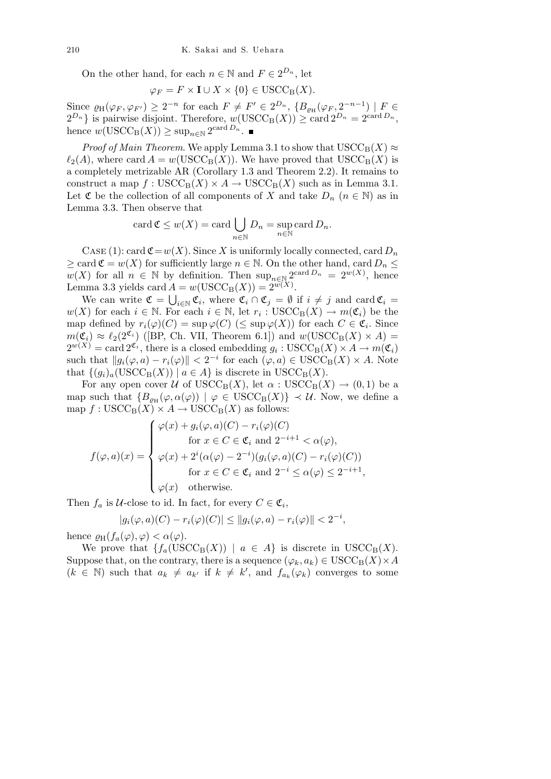On the other hand, for each  $n \in \mathbb{N}$  and  $F \in 2^{D_n}$ , let

$$
\varphi_F = F \times \mathbf{I} \cup X \times \{0\} \in \text{USCC}_{\text{B}}(X).
$$

Since  $\varrho_H(\varphi_F, \varphi_{F'}) \geq 2^{-n}$  for each  $F \neq F' \in 2^{D_n}$ ,  $\{B_{\varrho_H}(\varphi_F, 2^{-n-1}) \mid F \in$  $2^{D_n}$  is pairwise disjoint. Therefore,  $w(\text{USCC}_B(X)) \geq \text{card } 2^{D_n} = 2^{\text{card } D_n}$ , hence  $w(\text{USCC}_{\text{B}}(X)) \geq \sup_{n \in \mathbb{N}} 2^{\text{card }D_n}$ .

*Proof of Main Theorem.* We apply Lemma 3.1 to show that  $USCC_B(X) \approx$  $\ell_2(A)$ , where card  $A = w(USCC_B(X))$ . We have proved that  $USCC_B(X)$  is a completely metrizable AR (Corollary 1.3 and Theorem 2.2). It remains to construct a map  $f : \text{USCC}_B(X) \times A \to \text{USCC}_B(X)$  such as in Lemma 3.1. Let  $\mathfrak C$  be the collection of all components of *X* and take  $D_n$  ( $n \in \mathbb N$ ) as in Lemma 3.3. Then observe that

card 
$$
\mathfrak{C} \leq w(X) = \text{card} \bigcup_{n \in \mathbb{N}} D_n = \sup_{n \in \mathbb{N}} \text{card} D_n
$$
.

CASE (1): card  $\mathfrak{C} = w(X)$ . Since X is uniformly locally connected, card  $D_n$  $\geq$  card  $\mathfrak{C} = w(X)$  for sufficiently large  $n \in \mathbb{N}$ . On the other hand, card  $D_n \leq$  $w(X)$  for all  $n \in \mathbb{N}$  by definition. Then  $\sup_{n \in \mathbb{N}} 2^{\text{card }D_n} = 2^{w(X)}$ , hence Lemma 3.3 yields card  $A = w(\text{USCC}_B(X)) = 2^{w(X)}$ .

We can write  $\mathfrak{C} = \bigcup_{i \in \mathbb{N}} \mathfrak{C}_i$ , where  $\mathfrak{C}_i \cap \mathfrak{C}_j = \emptyset$  if  $i \neq j$  and card  $\mathfrak{C}_i =$ *w*(*X*) for each *i* ∈ N. For each *i* ∈ N, let  $r_i$  : USCC<sub>B</sub>(*X*) →  $m(\mathfrak{C}_i)$  be the map defined by  $r_i(\varphi)(C) = \sup \varphi(C)$  ( $\leq \sup \varphi(X)$ ) for each  $C \in \mathfrak{C}_i$ . Since  $m(\mathfrak{C}_i) \approx \ell_2(2^{\mathfrak{C}_i})$  ([BP, Ch. VII, Theorem 6.1]) and  $w(\text{USCC}_B(X) \times A) =$  $2^{w(X)} = \text{card } 2^{\mathfrak{C}_i}$ , there is a closed embedding  $g_i: \text{USCC}_B(X) \times A \to m(\mathfrak{C}_i)$ such that  $||g_i(\varphi, a) - r_i(\varphi)|| < 2^{-i}$  for each  $(\varphi, a) \in \text{USCC}_B(X) \times A$ . Note that  $\{(q_i)_a(\text{USCC}_B(X)) \mid a \in A\}$  is discrete in  $\text{USCC}_B(X)$ .

For any open cover *U* of  $USCC_B(X)$ , let  $\alpha$ :  $USCC_B(X) \rightarrow (0,1)$  be a map such that  ${B_{\varrho_H}(\varphi, \alpha(\varphi)) \mid \varphi \in \text{USCC}_B(X)} \prec \mathcal{U}$ . Now, we define a  $\text{map } f: \text{USCC}_{\text{B}}(X) \times A \to \text{USCC}_{\text{B}}(X)$  as follows:  $\frac{1}{2}$ 

$$
f(\varphi, a)(x) = \begin{cases} \varphi(x) + g_i(\varphi, a)(C) - r_i(\varphi)(C) \\ \text{for } x \in C \in \mathfrak{C}_i \text{ and } 2^{-i+1} < \alpha(\varphi), \\ \varphi(x) + 2^i(\alpha(\varphi) - 2^{-i})(g_i(\varphi, a)(C) - r_i(\varphi)(C)) \\ \text{for } x \in C \in \mathfrak{C}_i \text{ and } 2^{-i} \leq \alpha(\varphi) \leq 2^{-i+1}, \\ \varphi(x) \quad \text{otherwise.} \end{cases}
$$

Then  $f_a$  is *U*-close to id. In fact, for every  $C \in \mathfrak{C}_i$ ,

$$
|g_i(\varphi, a)(C) - r_i(\varphi)(C)| \le ||g_i(\varphi, a) - r_i(\varphi)|| < 2^{-i},
$$

hence  $\varrho_H(f_a(\varphi), \varphi) < \alpha(\varphi)$ .

We prove that  ${f_a(\text{USCC}_B(X)) \mid a \in A}$  is discrete in  $\text{USCC}_B(X)$ . Suppose that, on the contrary, there is a sequence  $(\varphi_k, a_k) \in \text{USCC}_B(X) \times A$  $(k \in \mathbb{N})$  such that  $a_k \neq a_{k'}$  if  $k \neq k'$ , and  $f_{a_k}(\varphi_k)$  converges to some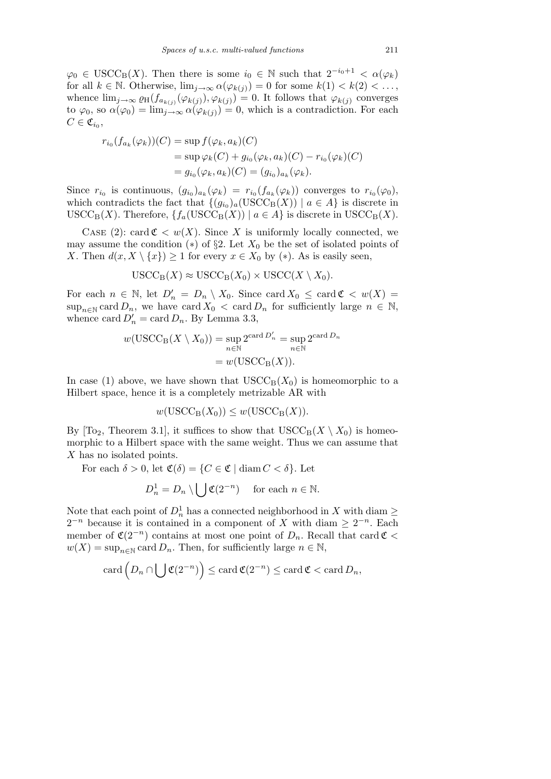$\varphi_0 \in \text{USCC}_B(X)$ . Then there is some  $i_0 \in \mathbb{N}$  such that  $2^{-i_0+1} < \alpha(\varphi_k)$ for all  $k \in \mathbb{N}$ . Otherwise,  $\lim_{j \to \infty} \alpha(\varphi_{k(j)}) = 0$  for some  $k(1) < k(2) < \ldots$ , whence  $\lim_{j\to\infty} \varrho_H(f_{a_{k(j)}}(\varphi_{k(j)}), \varphi_{k(j)}) = 0$ . It follows that  $\varphi_{k(j)}$  converges to  $\varphi_0$ , so  $\alpha(\varphi_0) = \lim_{j \to \infty} \alpha(\varphi_{k(j)}) = 0$ , which is a contradiction. For each  $C \in \mathfrak{C}_{i_0},$ 

$$
r_{i_0}(f_{a_k}(\varphi_k))(C) = \sup f(\varphi_k, a_k)(C)
$$
  
=  $\sup \varphi_k(C) + g_{i_0}(\varphi_k, a_k)(C) - r_{i_0}(\varphi_k)(C)$   
=  $g_{i_0}(\varphi_k, a_k)(C) = (g_{i_0})_{a_k}(\varphi_k).$ 

Since  $r_{i_0}$  is continuous,  $(g_{i_0})_{a_k}(\varphi_k) = r_{i_0}(f_{a_k}(\varphi_k))$  converges to  $r_{i_0}(\varphi_0)$ , which contradicts the fact that  $\{(g_{i_0})_a(\text{USCC}_B(X)) \mid a \in A\}$  is discrete in  $USCC_{\text{B}}(X)$ . Therefore,  $\{f_a(\text{USCC}_{\text{B}}(X)) \mid a \in A\}$  is discrete in  $USCC_{\text{B}}(X)$ .

CASE (2): card  $\mathfrak{C} < w(X)$ . Since X is uniformly locally connected, we may assume the condition  $(*)$  of  $\S 2$ . Let  $X_0$  be the set of isolated points of *X*. Then  $d(x, X \setminus \{x\}) \geq 1$  for every  $x \in X_0$  by (\*). As is easily seen,

$$
USCC_{\mathcal{B}}(X) \approx \text{USCC}_{\mathcal{B}}(X_0) \times \text{USCC}(X \setminus X_0).
$$

For each  $n \in \mathbb{N}$ , let  $D'_n = D_n \setminus X_0$ . Since card  $X_0 \leq \text{card } \mathfrak{C} < w(X) =$  $\sup_{n\in\mathbb{N}} \text{card } D_n$ , we have card  $X_0 < \text{card } D_n$  for sufficiently large  $n \in \mathbb{N}$ , whence card  $D'_n = \text{card } D_n$ . By Lemma 3.3,

$$
w(\text{USCC}_{\text{B}}(X \setminus X_0)) = \sup_{n \in \mathbb{N}} 2^{\text{card } D'_n} = \sup_{n \in \mathbb{N}} 2^{\text{card } D_n}
$$

$$
= w(\text{USCC}_{\text{B}}(X)).
$$

In case (1) above, we have shown that  $USCC_B(X_0)$  is homeomorphic to a Hilbert space, hence it is a completely metrizable AR with

$$
w(USCC_{\mathcal{B}}(X_0)) \leq w(USCC_{\mathcal{B}}(X)).
$$

By  $[To_2, Theorem 3.1]$ , it suffices to show that  $USCC_B(X \setminus X_0)$  is homeomorphic to a Hilbert space with the same weight. Thus we can assume that *X* has no isolated points.

For each  $\delta > 0$ , let  $\mathfrak{C}(\delta) = \{C \in \mathfrak{C} \mid \text{diam } C < \delta\}$ . Let

$$
D_n^1 = D_n \setminus \bigcup \mathfrak{C}(2^{-n}) \quad \text{ for each } n \in \mathbb{N}.
$$

Note that each point of  $D_n^1$  has a connected neighborhood in *X* with diam  $\geq$  $2^{-n}$  because it is contained in a component of *X* with diam  $\geq 2^{-n}$ . Each member of  $\mathfrak{C}(2^{-n})$  contains at most one point of  $D_n$ . Recall that card  $\mathfrak{C}$  <  $w(X) = \sup_{n \in \mathbb{N}} \text{card } D_n$ . Then, for sufficiently large  $n \in \mathbb{N}$ ,

$$
\operatorname{card}\left(D_n \cap \bigcup \mathfrak{C}(2^{-n})\right) \le \operatorname{card}\mathfrak{C}(2^{-n}) \le \operatorname{card}\mathfrak{C} < \operatorname{card} D_n,
$$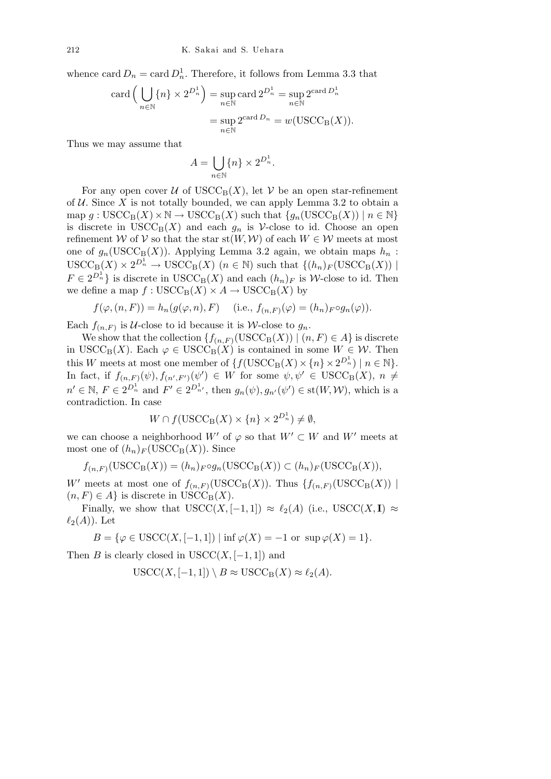whence card  $D_n = \text{card } D_n^1$ . Therefore, it follows from Lemma 3.3 that

card 
$$
\left(\bigcup_{n \in \mathbb{N}} \{n\} \times 2^{D_n^1}\right)
$$
 = sup card  $2^{D_n^1}$  = sup  $2^{\text{card } D_n^1}$   
 = sup  $2^{\text{card } D_n}$  = w(USCC<sub>B</sub>(X)).

Thus we may assume that

$$
A = \bigcup_{n \in \mathbb{N}} \{n\} \times 2^{D_n^1}.
$$

For any open cover  $U$  of  $USCC_B(X)$ , let  $V$  be an open star-refinement of  $U$ . Since  $X$  is not totally bounded, we can apply Lemma 3.2 to obtain a  $\text{map } g: \text{USCC}_{\text{B}}(X) \times \mathbb{N} \to \text{USCC}_{\text{B}}(X) \text{ such that } \{g_n(\text{USCC}_{\text{B}}(X)) \mid n \in \mathbb{N}\}\$ is discrete in  $USCC_B(X)$  and each  $g_n$  is  $\mathcal V$ -close to id. Choose an open refinement *W* of *V* so that the star st(*W, W*) of each  $W \in \mathcal{W}$  meets at most one of  $g_n(\text{USCC}_B(X))$ . Applying Lemma 3.2 again, we obtain maps  $h_n$ :  $USCC_{\text{B}}(X) \times 2^{D_n^1} \rightarrow \text{USCC}_{\text{B}}(X)$  ( $n \in \mathbb{N}$ ) such that  $\{(h_n)_F(\text{USCC}_{\text{B}}(X)) \mid$  $F \in 2^{D_n^1}$  is discrete in USCC<sub>B</sub>(*X*) and each  $(h_n)_F$  is *W*-close to id. Then we define a map  $f : \text{USCC}_{\text{B}}(X) \times A \rightarrow \text{USCC}_{\text{B}}(X)$  by

$$
f(\varphi, (n, F)) = h_n(g(\varphi, n), F) \quad \text{(i.e., } f_{(n, F)}(\varphi) = (h_n)_F \circ g_n(\varphi)).
$$

Each  $f_{(n,F)}$  is *U*-close to id because it is *W*-close to  $g_n$ .

We show that the collection  $\{f_{(n,F)}(USCC_B(X)) \mid (n, F) \in A\}$  is discrete in USCC<sub>B</sub>(*X*). Each  $\varphi \in \text{USCC}_B(X)$  is contained in some  $W \in \mathcal{W}$ . Then this *W* meets at most one member of  $\{f(\text{USCC}_{B}(X) \times \{n\} \times 2^{D_n^1}) \mid n \in \mathbb{N}\}.$ In fact, if  $f_{(n,F)}(\psi), f_{(n',F')}(\psi') \in W$  for some  $\psi, \psi' \in \text{USCC}_{B}(X), n \neq 0$  $n' \in \mathbb{N}, F \in 2^{D_n^1}$  and  $F' \in 2^{D_{n'}^1}$ , then  $g_n(\psi), g_{n'}(\psi') \in \text{st}(W, \mathcal{W})$ , which is a contradiction. In case

$$
W \cap f(\text{USCC}_{\text{B}}(X) \times \{n\} \times 2^{D_n^1}) \neq \emptyset,
$$

we can choose a neighborhood  $W'$  of  $\varphi$  so that  $W' \subset W$  and  $W'$  meets at most one of  $(h_n)_F$  (USCC<sub>B</sub> $(X)$ ). Since

$$
f_{(n,F)}(USCC_{\mathcal{B}}(X)) = (h_n)_F \circ g_n(USCC_{\mathcal{B}}(X)) \subset (h_n)_F(USCC_{\mathcal{B}}(X)),
$$

*W*<sup>*i*</sup> meets at most one of  $f_{(n,F)}(USCC_B(X))$ . Thus  $\{f_{(n,F)}(USCC_B(X))$  $(n, F) \in A$  is discrete in USCC<sub>B</sub> $(X)$ .

Finally, we show that  $USCC(X, [-1, 1]) \approx \ell_2(A)$  (i.e.,  $USCC(X, I) \approx$  $\ell_2(A)$ ). Let

$$
B = \{ \varphi \in \text{USCC}(X, [-1, 1]) \mid \inf \varphi(X) = -1 \text{ or } \sup \varphi(X) = 1 \}.
$$

Then *B* is clearly closed in  $USCC(X, [-1, 1])$  and

$$
USCC(X, [-1, 1]) \setminus B \approx USC_{\mathcal{B}}(X) \approx \ell_2(A).
$$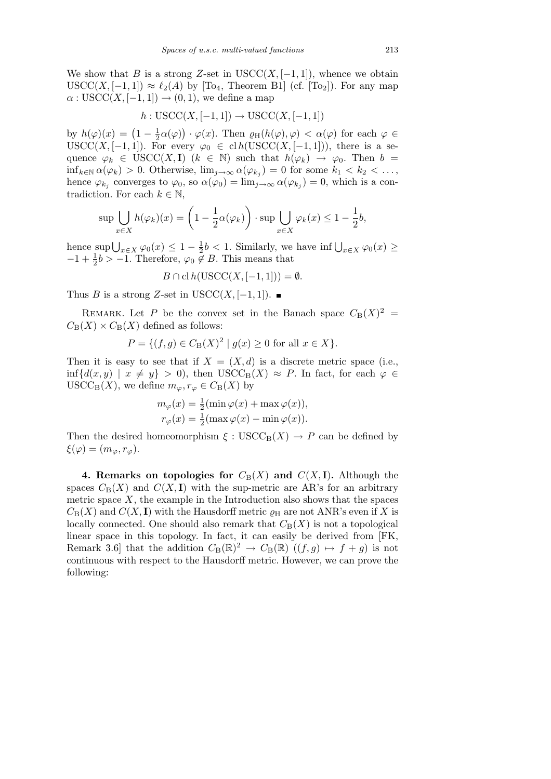We show that *B* is a strong *Z*-set in USCC $(X, [-1, 1])$ , whence we obtain  $USCC(X, [-1, 1]) \approx \ell_2(A)$  by [To<sub>4</sub>, Theorem B1] (cf. [To<sub>2</sub>]). For any map  $\alpha$  : USCC(*X*, [−1, 1])  $\rightarrow$  (0, 1), we define a map

$$
h: \text{USCC}(X, [-1, 1]) \to \text{USCC}(X, [-1, 1])
$$

by  $h(\varphi)(x) = (1 - \frac{1}{2})$  $\frac{1}{2}\alpha(\varphi)$  $\frac{1}{\sqrt{2}}$  $\cdot \varphi(x)$ . Then  $\varrho_H(h(\varphi), \varphi) < \alpha(\varphi)$  for each  $\varphi \in$ USCC(*X*, [−1, 1]). For every  $\varphi_0 \in \text{cl } h(\text{USCC}(X, [-1,1]))$ , there is a sequence  $\varphi_k \in \text{USCC}(X, \mathbf{I})$  ( $k \in \mathbb{N}$ ) such that  $h(\varphi_k) \to \varphi_0$ . Then  $b =$ inf*k∈*<sup>N</sup> *α*(*ϕk*) *>* 0. Otherwise, lim*j→∞ α*(*ϕ<sup>k</sup><sup>j</sup>* ) = 0 for some *k*<sup>1</sup> *< k*<sup>2</sup> *< . . . ,* hence  $\varphi_{k_j}$  converges to  $\varphi_0$ , so  $\alpha(\varphi_0) = \lim_{j \to \infty} \alpha(\varphi_{k_j}) = 0$ , which is a contradiction. For each  $k \in \mathbb{N}$ ,  $\mathbf{r}$ 

$$
\sup \bigcup_{x \in X} h(\varphi_k)(x) = \left(1 - \frac{1}{2}\alpha(\varphi_k)\right) \cdot \sup \bigcup_{x \in X} \varphi_k(x) \le 1 - \frac{1}{2}b,
$$

hence  $\sup \bigcup_{x \in X} \varphi_0(x) \leq 1 - \frac{1}{2}$  $\frac{1}{2}b$  < 1. Similarly, we have inf  $\bigcup_{x \in X} \varphi_0(x)$  ≥  $-1 + \frac{1}{2}b > -1$ . Therefore,  $\varphi_0 \notin B$ . This means that

$$
B \cap \text{cl } h(\text{USCC}(X, [-1, 1])) = \emptyset.
$$

Thus *B* is a strong *Z*-set in USCC(*X*, [−1, 1]). ■

REMARK. Let *P* be the convex set in the Banach space  $C_B(X)^2$  =  $C_{\text{B}}(X) \times C_{\text{B}}(X)$  defined as follows:

$$
P = \{ (f, g) \in C_{\mathcal{B}}(X)^2 \mid g(x) \ge 0 \text{ for all } x \in X \}.
$$

Then it is easy to see that if  $X = (X, d)$  is a discrete metric space (i.e.,  $\inf \{ d(x, y) \mid x \neq y \} > 0$ , then  $USCC_B(X) \approx P$ . In fact, for each  $\varphi \in$  $USCC_{\text{B}}(X)$ , we define  $m_{\varphi}, r_{\varphi} \in C_{\text{B}}(X)$  by

$$
m_{\varphi}(x) = \frac{1}{2} (\min \varphi(x) + \max \varphi(x)),
$$
  

$$
r_{\varphi}(x) = \frac{1}{2} (\max \varphi(x) - \min \varphi(x)).
$$

Then the desired homeomorphism  $\xi : \text{USCC}_{\text{B}}(X) \to P$  can be defined by  $\xi(\varphi) = (m_{\varphi}, r_{\varphi}).$ 

**4. Remarks on topologies for**  $C_B(X)$  and  $C(X, I)$ . Although the spaces  $C_B(X)$  and  $C(X, I)$  with the sup-metric are AR's for an arbitrary metric space  $X$ , the example in the Introduction also shows that the spaces  $C_{\text{B}}(X)$  and  $C(X, I)$  with the Hausdorff metric  $\rho_{\text{H}}$  are not ANR's even if X is locally connected. One should also remark that  $C_B(X)$  is not a topological linear space in this topology. In fact, it can easily be derived from [FK, Remark 3.6 that the addition  $C_{\text{B}}(\mathbb{R})^2 \to C_{\text{B}}(\mathbb{R})$   $((f,g) \mapsto f+g)$  is not continuous with respect to the Hausdorff metric. However, we can prove the following: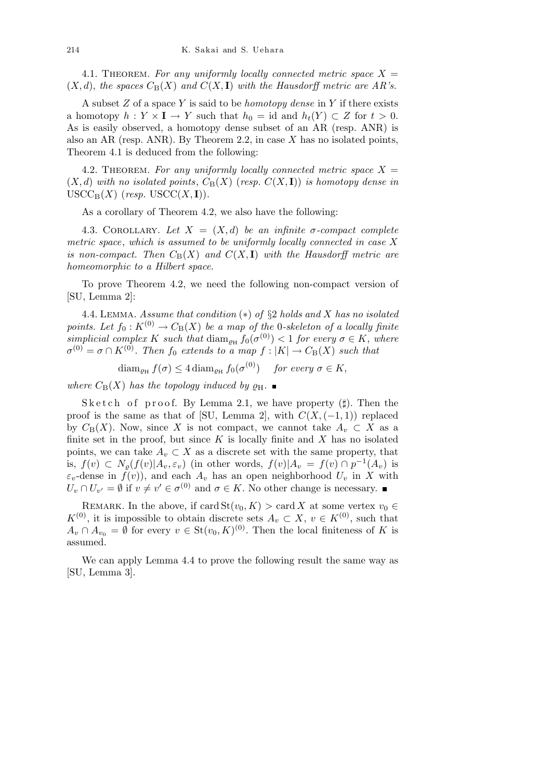4.1. THEOREM. For any uniformly locally connected metric space  $X =$  $(X, d)$ , the spaces  $C_B(X)$  and  $C(X, I)$  with the Hausdorff metric are AR's.

A subset *Z* of a space *Y* is said to be *homotopy dense* in *Y* if there exists a homotopy  $h: Y \times I \to Y$  such that  $h_0 = id$  and  $h_t(Y) \subset Z$  for  $t > 0$ . As is easily observed, a homotopy dense subset of an AR (resp. ANR) is also an AR (resp. ANR). By Theorem 2.2, in case *X* has no isolated points, Theorem 4.1 is deduced from the following:

4.2. THEOREM. For any uniformly locally connected metric space  $X =$  $(X, d)$  with no isolated points,  $C_B(X)$  (resp.  $C(X, I)$ ) is homotopy dense in  $USCC_{\text{B}}(X)$  (*resp.* USCC $(X, I)$ ).

As a corollary of Theorem 4.2, we also have the following:

4.3. COROLLARY. Let  $X = (X, d)$  be an infinite  $\sigma$ -compact complete *metric space*, *which is assumed to be uniformly locally connected in case X is non-compact. Then*  $C_B(X)$  *and*  $C(X, I)$  *with the Hausdorff metric are homeomorphic to a Hilbert space.*

To prove Theorem 4.2, we need the following non-compact version of [SU, Lemma 2]:

4.4. Lemma. *Assume that condition* (*∗*) *of §*2 *holds and X has no isolated points. Let*  $f_0: K^{(0)} \to C_B(X)$  *be a map of the* 0*-skeleton of a locally finite*  $simplified \ complex \ K \ such \ that \ diam_{\rho_H} f_0(\sigma^{(0)}) < 1 \ for \ every \ \sigma \in K, \ where$  $\sigma^{(0)} = \sigma \cap K^{(0)}$ . Then  $f_0$  extends to a map  $f : |K| \to C_{\text{B}}(X)$  such that

 $\text{diam}_{\rho_H} f(\sigma) \leq 4 \text{diam}_{\rho_H} f_0(\sigma^{(0)})$  *for every*  $\sigma \in K$ ,

*where*  $C_B(X)$  *has the topology induced by*  $\rho_H$ .

Sketch of proof. By Lemma 2.1, we have property  $(\sharp)$ . Then the proof is the same as that of [SU, Lemma 2], with  $C(X, (-1, 1))$  replaced by  $C_B(X)$ . Now, since X is not compact, we cannot take  $A_v \subset X$  as a finite set in the proof, but since  $K$  is locally finite and  $X$  has no isolated points, we can take  $A_v \subset X$  as a discrete set with the same property, that is,  $f(v) \subset N_{\varrho}(f(v)|A_v, \varepsilon_v)$  (in other words,  $f(v)|A_v = f(v) \cap p^{-1}(A_v)$  is  $\varepsilon_v$ -dense in  $f(v)$ ), and each  $A_v$  has an open neighborhood  $U_v$  in X with  $U_v \cap U_{v'} = \emptyset$  if  $v \neq v' \in \sigma^{(0)}$  and  $\sigma \in K$ . No other change is necessary.

REMARK. In the above, if card  $\text{St}(v_0, K) > \text{card } X$  at some vertex  $v_0 \in$ *K*<sup>(0)</sup>, it is impossible to obtain discrete sets *A<sub>v</sub>* ⊂ *X*, *v* ∈ *K*<sup>(0)</sup>, such that  $A_v$  ∩  $A_{v_0}$  =  $\emptyset$  for every  $v \in$  St( $v_0, K$ )<sup>(0)</sup>. Then the local finiteness of *K* is assumed.

We can apply Lemma 4.4 to prove the following result the same way as [SU, Lemma 3].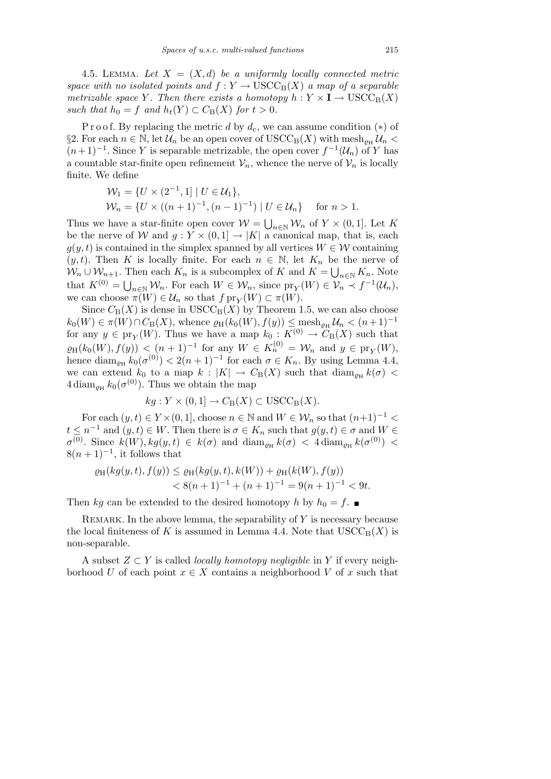4.5. LEMMA. Let  $X = (X, d)$  be a uniformly locally connected metric *space with no isolated points and*  $f: Y \to \text{USCC}_B(X)$  *a map of a separable metrizable space Y*. Then there exists a homotopy  $h: Y \times I \rightarrow \text{USCC}_{B}(X)$ *such that*  $h_0 = f$  *and*  $h_t(Y) \subset C_B(X)$  *for*  $t > 0$ *.* 

P r o o f. By replacing the metric *d* by  $d_c$ , we can assume condition (\*) of  $§$ 2. For each *n* ∈ N, let  $U_n$  be an open cover of USCC<sub>B</sub>(*X*) with mesh<sub>*o*H</sub>  $U_n$  <  $(n+1)^{-1}$ . Since *Y* is separable metrizable, the open cover  $f^{-1}(\mathcal{U}_n)$  of *Y* has a countable star-finite open refinement  $V_n$ , whence the nerve of  $V_n$  is locally finite. We define

$$
\mathcal{W}_1 = \{ U \times (2^{-1}, 1] \mid U \in \mathcal{U}_1 \},
$$
  
\n
$$
\mathcal{W}_n = \{ U \times ((n+1)^{-1}, (n-1)^{-1}) \mid U \in \mathcal{U}_n \} \text{ for } n > 1.
$$

Thus we have a star-finite open cover  $W =$  $m \in \mathbb{N}$  *W*<sub>n</sub> of *Y* × (0, 1]. Let *K* be the nerve of *W* and  $g: Y \times (0,1] \rightarrow |K|$  a canonical map, that is, each  $g(y, t)$  is contained in the simplex spanned by all vertices  $W \in \mathcal{W}$  containing  $(y, t)$ . Then *K* is locally finite. For each  $n \in \mathbb{N}$ , let  $K_n$  be the nerve of  $W_n \cup W_{n+1}$ . Then each  $K_n$  is a subcomplex of *K* and  $K = \bigcup_{n \in \mathbb{N}} K_n$ . Note that  $K^{(0)} = \bigcup_{n \in \mathbb{N}} \mathcal{W}_n$ . For each  $W \in \mathcal{W}_n$ , since  $\text{pr}_Y(W) \in \mathcal{V}_n \prec f^{-1}(\mathcal{U}_n)$ , we can choose  $\pi(W) \in \mathcal{U}_n$  so that  $f \text{pr}_Y(W) \subset \pi(W)$ .

Since  $C_B(X)$  is dense in  $USCC_B(X)$  by Theorem 1.5, we can also choose  $k_0(W) \in \pi(W) \cap C_{\text{B}}(X)$ , whence  $\varrho_{\text{H}}(k_0(W), f(y)) \leq \text{mesh}_{\varrho_{\text{H}}} \mathcal{U}_n < (n+1)^{-1}$ for any  $y \in \text{pr}_Y(W)$ . Thus we have a map  $k_0: K^{(0)} \to C_B(X)$  such that  $\varrho_H(k_0(W), f(y)) < (n+1)^{-1}$  for any  $W \in K_n^{(0)} = \mathcal{W}_n$  and  $y \in \text{pr}_Y(W)$ , hence  $\text{diam}_{\rho_H} k_0(\sigma^{(0)}) < 2(n+1)^{-1}$  for each  $\sigma \in K_n$ . By using Lemma 4.4, we can extend  $k_0$  to a map  $k: |K| \to C_B(X)$  such that  $\text{diam}_{\rho_H} k(\sigma)$  $4 \operatorname{diam}_{\varrho_H} k_0(\sigma^{(0)})$ . Thus we obtain the map

$$
kg: Y \times (0,1] \to C_{\mathcal{B}}(X) \subset \text{USCC}_{\mathcal{B}}(X).
$$

For each  $(y, t) \in Y \times (0, 1]$ , choose  $n \in \mathbb{N}$  and  $W \in \mathcal{W}_n$  so that  $(n+1)^{-1} <$  $t \leq n^{-1}$  and  $(y, t) \in W$ . Then there is  $\sigma \in K_n$  such that  $g(y, t) \in \sigma$  and  $W \in$  $\sigma^{(0)}$ . Since  $k(W)$ ,  $kg(y, t) \in k(\sigma)$  and  $\text{diam}_{\rho_H} k(\sigma) < 4 \text{diam}_{\rho_H} k(\sigma^{(0)})$  $8(n+1)^{-1}$ , it follows that

$$
\varrho_H(kg(y,t), f(y)) \le \varrho_H(kg(y,t), k(W)) + \varrho_H(k(W), f(y)) \n< 8(n+1)^{-1} + (n+1)^{-1} = 9(n+1)^{-1} < 9t.
$$

Then *kg* can be extended to the desired homotopy *h* by  $h_0 = f$ .

REMARK. In the above lemma, the separability of Y is necessary because the local finiteness of K is assumed in Lemma 4.4. Note that  $USCC<sub>B</sub>(X)$  is non-separable.

A subset *Z ⊂ Y* is called *locally homotopy negligible* in *Y* if every neighborhood *U* of each point  $x \in X$  contains a neighborhood *V* of *x* such that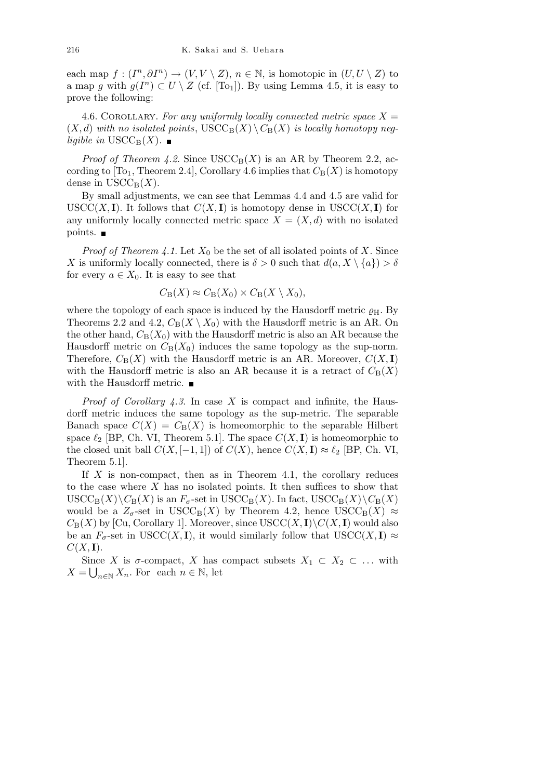each map  $f : (I^n, \partial I^n) \to (V, V \setminus Z), n \in \mathbb{N}$ , is homotopic in  $(U, U \setminus Z)$  to a map *g* with  $g(I^n) \subset U \setminus Z$  (cf. [To<sub>1</sub>]). By using Lemma 4.5, it is easy to prove the following:

4.6. COROLLARY. For any uniformly locally connected metric space  $X =$  $(X, d)$  *with no isolated points*,  $USCC_B(X) \setminus C_B(X)$  *is locally homotopy negligible in*  $USCC_B(X)$ .

*Proof of Theorem 4.2.* Since  $USCC_B(X)$  is an AR by Theorem 2.2, according to  $[T<sub>01</sub>, Theorem 2.4]$ , Corollary 4.6 implies that  $C_B(X)$  is homotopy dense in  $USCC_B(X)$ .

By small adjustments, we can see that Lemmas 4.4 and 4.5 are valid for USCC(*X,* **I**). It follows that  $C(X, I)$  is homotopy dense in USCC(*X,* **I**) for any uniformly locally connected metric space  $X = (X, d)$  with no isolated points.

*Proof of Theorem 4.1.* Let  $X_0$  be the set of all isolated points of X. Since *X* is uniformly locally connected, there is  $\delta > 0$  such that  $d(a, X \setminus \{a\}) > \delta$ for every  $a \in X_0$ . It is easy to see that

$$
C_{\mathcal{B}}(X) \approx C_{\mathcal{B}}(X_0) \times C_{\mathcal{B}}(X \setminus X_0),
$$

where the topology of each space is induced by the Hausdorff metric  $\rho_H$ . By Theorems 2.2 and 4.2,  $C_B(X \setminus X_0)$  with the Hausdorff metric is an AR. On the other hand,  $C_B(X_0)$  with the Hausdorff metric is also an AR because the Hausdorff metric on  $C_B(X_0)$  induces the same topology as the sup-norm. Therefore,  $C_B(X)$  with the Hausdorff metric is an AR. Moreover,  $C(X, I)$ with the Hausdorff metric is also an AR because it is a retract of  $C_B(X)$ with the Hausdorff metric.  $\blacksquare$ 

*Proof of Corollary 4.3*. In case *X* is compact and infinite, the Hausdorff metric induces the same topology as the sup-metric. The separable Banach space  $C(X) = C_B(X)$  is homeomorphic to the separable Hilbert space  $\ell_2$  [BP, Ch. VI, Theorem 5.1]. The space  $C(X, I)$  is homeomorphic to the closed unit ball  $C(X, [-1, 1])$  of  $C(X)$ , hence  $C(X, I) \approx \ell_2$  [BP, Ch. VI, Theorem 5.1].

If *X* is non-compact, then as in Theorem 4.1, the corollary reduces to the case where *X* has no isolated points. It then suffices to show that  $\text{USCC}_{\text{B}}(X) \backslash C_{\text{B}}(X)$  is an  $F_{\sigma}$ -set in  $\text{USCC}_{\text{B}}(X)$ . In fact,  $\text{USCC}_{\text{B}}(X) \backslash C_{\text{B}}(X)$ would be a  $Z_{\sigma}$ -set in USCC<sub>B</sub>(*X*) by Theorem 4.2, hence USCC<sub>B</sub>(*X*)  $\approx$  $C_{\text{B}}(X)$  by [Cu, Corollary 1]. Moreover, since  $USCC(X, I) \setminus C(X, I)$  would also be an  $F_{\sigma}$ -set in USCC(*X,* **I**), it would similarly follow that USCC(*X,* **I**)  $\approx$  $C(X, I)$ .

Since *X* is  $\sigma$ -compact, *X* has compact subsets  $X_1 \subset X_2 \subset \ldots$  with  $X = \bigcup_{n \in \mathbb{N}} X_n$ . For each  $n \in \mathbb{N}$ , let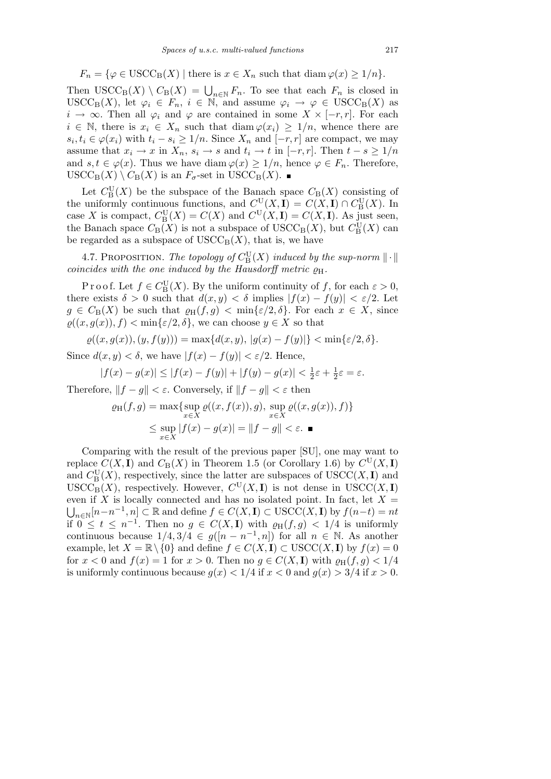$$
F_n = \{ \varphi \in \text{USCC}_B(X) \mid \text{there is } x \in X_n \text{ such that } \text{diam } \varphi(x) \geq 1/n \}.
$$

Then  $USCC_B(X) \setminus C_B(X) = \bigcup_{n \in \mathbb{N}} F_n$ . To see that each  $F_n$  is closed in USCC<sub>B</sub>(*X*), let  $\varphi_i \in F_n$ ,  $i \in \mathbb{N}$ , and assume  $\varphi_i \to \varphi \in \text{USCC}_B(X)$  as *i* → ∞. Then all  $\varphi_i$  and  $\varphi$  are contained in some  $X \times [-r, r]$ . For each  $i \in \mathbb{N}$ , there is  $x_i \in X_n$  such that diam  $\varphi(x_i) \geq 1/n$ , whence there are  $s_i, t_i \in \varphi(x_i)$  with  $t_i - s_i \geq 1/n$ . Since  $X_n$  and  $[-r, r]$  are compact, we may assume that  $x_i \to x$  in  $X_n$ ,  $s_i \to s$  and  $t_i \to t$  in  $[-r, r]$ . Then  $t - s \geq 1/n$ and  $s, t \in \varphi(x)$ . Thus we have diam  $\varphi(x) \geq 1/n$ , hence  $\varphi \in F_n$ . Therefore,  $USCC_{\text{B}}(X) \setminus C_{\text{B}}(X)$  is an  $F_{\sigma}$ -set in  $USCC_{\text{B}}(X)$ .

Let  $C_{\text{B}}^{\text{U}}(X)$  be the subspace of the Banach space  $C_{\text{B}}(X)$  consisting of the uniformly continuous functions, and  $C_{\text{L}}^{\text{U}}(X, \mathbf{I}) = C(X, \mathbf{I}) \cap C_{\text{B}}^{\text{U}}(X)$ . In case *X* is compact,  $C_{\text{B}}^{\text{U}}(X) = C(X)$  and  $C^{\text{U}}(X, I) = C(X, I)$ . As just seen, the Banach space  $C_B(X)$  is not a subspace of  $\operatorname{USCC}_B(X)$ , but  $C_B^U(X)$  can be regarded as a subspace of  $USCC_B(X)$ , that is, we have

4.7. PROPOSITION. *The topology of*  $C^{\text{U}}_{\text{B}}(X)$  *induced by the sup-norm*  $\|\cdot\|$ *coincides with the one induced by the Hausdorff metric*  $\rho_H$ .

P r o o f. Let  $f \in C^{\mathbf{U}}_{\mathbf{B}}(X)$ . By the uniform continuity of  $f$ , for each  $\varepsilon > 0$ , there exists  $\delta > 0$  such that  $d(x, y) < \delta$  implies  $|f(x) - f(y)| < \varepsilon/2$ . Let  $g \in C_{\mathcal{B}}(X)$  be such that  $\varrho_{\mathcal{H}}(f,g) < \min\{\varepsilon/2,\delta\}$ . For each  $x \in X$ , since  $\varrho((x, g(x)), f) < \min\{\varepsilon/2, \delta\}$ , we can choose  $y \in X$  so that

 $\rho((x, g(x)), (y, f(y))) = \max\{d(x, y), |g(x) - f(y)|\} < \min\{\varepsilon/2, \delta\}.$ Since  $d(x, y) < \delta$ , we have  $|f(x) - f(y)| < \varepsilon/2$ . Hence,

$$
|f(x) - g(x)| \le |f(x) - f(y)| + |f(y) - g(x)| < \frac{1}{2}\varepsilon + \frac{1}{2}\varepsilon = \varepsilon.
$$

Therefore,  $||f - g|| < \varepsilon$ . Conversely, if  $||f - g|| < \varepsilon$  then

$$
\varrho_{\mathrm{H}}(f,g) = \max \{ \sup_{x \in X} \varrho((x,f(x)),g), \sup_{x \in X} \varrho((x,g(x)),f) \}
$$
  

$$
\leq \sup_{x \in X} |f(x) - g(x)| = ||f - g|| < \varepsilon. \blacksquare
$$

Comparing with the result of the previous paper [SU], one may want to replace  $C(X, I)$  and  $C_B(X)$  in Theorem 1.5 (or Corollary 1.6) by  $C^U(X, I)$ and  $C_{\text{B}}^{\text{U}}(X)$ , respectively, since the latter are subspaces of  $\text{USCC}(X, \mathbf{I})$  and  $USCC_{\text{B}}(X)$ , respectively. However,  $C^{\text{U}}(X, \mathbf{I})$  is not dense in  $USCC(X, \mathbf{I})$ even if X is locally connected and has no isolated point. In fact, let  $X =$  $n \in \mathbb{N}[n-n^{-1}, n] \subset \mathbb{R}$  and define  $f \in C(X, I) \subset \text{USCC}(X, I)$  by  $f(n-t) = nt$ if  $0 \le t \le n^{-1}$ . Then no  $g \in C(X, I)$  with  $\varrho_H(f, g) < 1/4$  is uniformly continuous because  $1/4$ ,  $3/4 \in g([n - n^{-1}, n])$  for all  $n \in \mathbb{N}$ . As another example, let  $X = \mathbb{R} \setminus \{0\}$  and define  $f \in C(X, I) \subset \text{USCC}(X, I)$  by  $f(x) = 0$ for  $x < 0$  and  $f(x) = 1$  for  $x > 0$ . Then no  $g \in C(X, I)$  with  $\varrho_H(f, g) < 1/4$ is uniformly continuous because  $g(x) < 1/4$  if  $x < 0$  and  $g(x) > 3/4$  if  $x > 0$ .